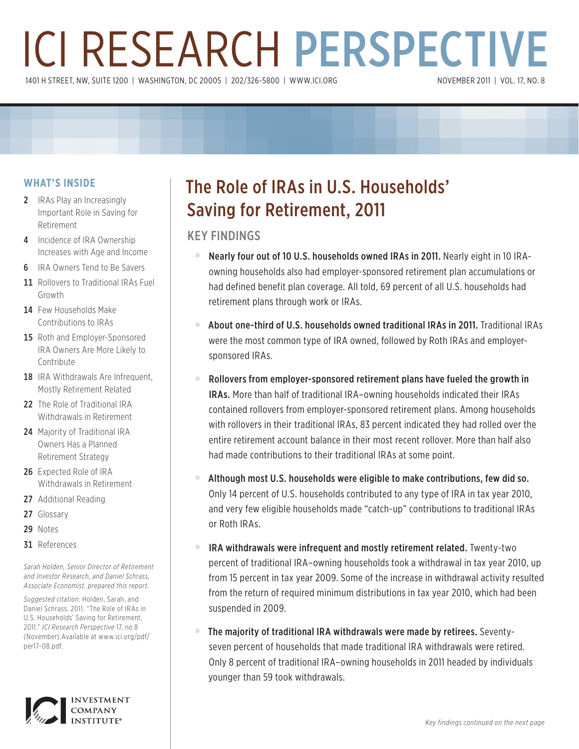# ICI RESEARCH PERSPECTIVE 1401 H STREET, NW, SUITE 1200 | WASHINGTON, DC 20005 | 202/326-5800 | WWW.ICI.ORG

## **WHAT'S INSIDE**

- 2 IRAs Play an Increasingly Important Role in Saving for Retirement
- 4 Incidence of IRA Ownership Increases with Age and Income
- **6** IRA Owners Tend to Be Savers
- 11 Rollovers to Traditional IRAs Fuel Growth
- 14 Few Households Make Contributions to IRAs
- 15 Roth and Employer-Sponsored IRA Owners Are More Likely to Contribute
- 18 IRA Withdrawals Are Infrequent. Mostly Retirement Related
- 22 The Role of Traditional IRA Withdrawals in Retirement
- 24 Majority of Traditional IRA Owners Has a Planned Retirement Strategy
- 26 Expected Role of IRA Withdrawals in Retirement
- 27 Additional Reading
- 27 Glossary
- 29 Notes
- 31 References

*Sarah Holden, Senior Director of Retirement and Investor Research, and Daniel Schrass, Associate Economist, prepared this report.*

*Suggested citation:* Holden, Sarah, and Daniel Schrass. 2011. "The Role of IRAs in U.S. Households' Saving for Retirement, 2011." *ICI Research Perspective* 17, no 8 (November).Available at www.ici.org/pdf/ per17-08.pdf.



## The Role of IRAs in U.S. Households' Saving for Retirement, 2011

## KEY FINDINGS

- » Nearly four out of 10 U.S. households owned IRAs in 2011. Nearly eight in 10 IRAowning households also had employer-sponsored retirement plan accumulations or had defined benefit plan coverage. All told, 69 percent of all U.S. households had retirement plans through work or IRAs.
- » About one-third of U.S. households owned traditional IRAs in 2011. Traditional IRAs were the most common type of IRA owned, followed by Roth IRAs and employersponsored IRAs.
- » Rollovers from employer-sponsored retirement plans have fueled the growth in IRAs. More than half of traditional IRA–owning households indicated their IRAs contained rollovers from employer-sponsored retirement plans. Among households with rollovers in their traditional IRAs, 83 percent indicated they had rolled over the entire retirement account balance in their most recent rollover. More than half also had made contributions to their traditional IRAs at some point.
- » Although most U.S. households were eligible to make contributions, few did so. Only 14 percent of U.S. households contributed to any type of IRA in tax year 2010, and very few eligible households made "catch-up" contributions to traditional IRAs or Roth IRAs.
- » IRA withdrawals were infrequent and mostly retirement related. Twenty-two percent of traditional IRA–owning households took a withdrawal in tax year 2010, up from 15 percent in tax year 2009. Some of the increase in withdrawal activity resulted from the return of required minimum distributions in tax year 2010, which had been suspended in 2009.
- » The majority of traditional IRA withdrawals were made by retirees. Seventyseven percent of households that made traditional IRA withdrawals were retired. Only 8 percent of traditional IRA–owning households in 2011 headed by individuals younger than 59 took withdrawals.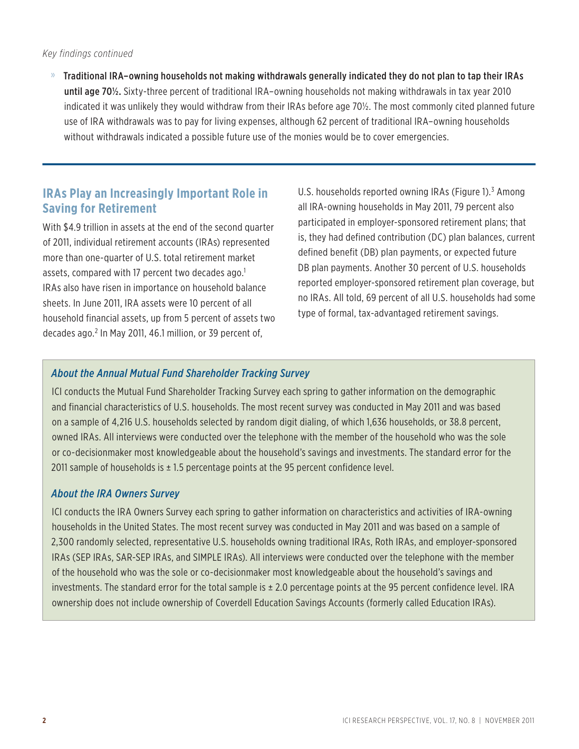#### *Key findings continued*

» Traditional IRA–owning households not making withdrawals generally indicated they do not plan to tap their IRAs until age 70½. Sixty-three percent of traditional IRA–owning households not making withdrawals in tax year 2010 indicated it was unlikely they would withdraw from their IRAs before age 70½. The most commonly cited planned future use of IRA withdrawals was to pay for living expenses, although 62 percent of traditional IRA–owning households without withdrawals indicated a possible future use of the monies would be to cover emergencies.

## **IRAs Play an Increasingly Important Role in Saving for Retirement**

With \$4.9 trillion in assets at the end of the second quarter of 2011, individual retirement accounts (IRAs) represented more than one-quarter of U.S. total retirement market assets, compared with 17 percent two decades ago. $1$ IRAs also have risen in importance on household balance sheets. In June 2011, IRA assets were 10 percent of all household financial assets, up from 5 percent of assets two decades ago.2 In May 2011, 46.1 million, or 39 percent of,

U.S. households reported owning IRAs (Figure 1).<sup>3</sup> Among all IRA-owning households in May 2011, 79 percent also participated in employer-sponsored retirement plans; that is, they had defined contribution (DC) plan balances, current defined benefit (DB) plan payments, or expected future DB plan payments. Another 30 percent of U.S. households reported employer-sponsored retirement plan coverage, but no IRAs. All told, 69 percent of all U.S. households had some type of formal, tax-advantaged retirement savings.

### *About the Annual Mutual Fund Shareholder Tracking Survey*

ICI conducts the Mutual Fund Shareholder Tracking Survey each spring to gather information on the demographic and financial characteristics of U.S. households. The most recent survey was conducted in May 2011 and was based on a sample of 4,216 U.S. households selected by random digit dialing, of which 1,636 households, or 38.8 percent, owned IRAs. All interviews were conducted over the telephone with the member of the household who was the sole or co-decisionmaker most knowledgeable about the household's savings and investments. The standard error for the 2011 sample of households is  $\pm$  1.5 percentage points at the 95 percent confidence level.

### *About the IRA Owners Survey*

ICI conducts the IRA Owners Survey each spring to gather information on characteristics and activities of IRA-owning households in the United States. The most recent survey was conducted in May 2011 and was based on a sample of 2,300 randomly selected, representative U.S. households owning traditional IRAs, Roth IRAs, and employer-sponsored IRAs (SEP IRAs, SAR-SEP IRAs, and SIMPLE IRAs). All interviews were conducted over the telephone with the member of the household who was the sole or co-decisionmaker most knowledgeable about the household's savings and investments. The standard error for the total sample is ± 2.0 percentage points at the 95 percent confidence level. IRA ownership does not include ownership of Coverdell Education Savings Accounts (formerly called Education IRAs).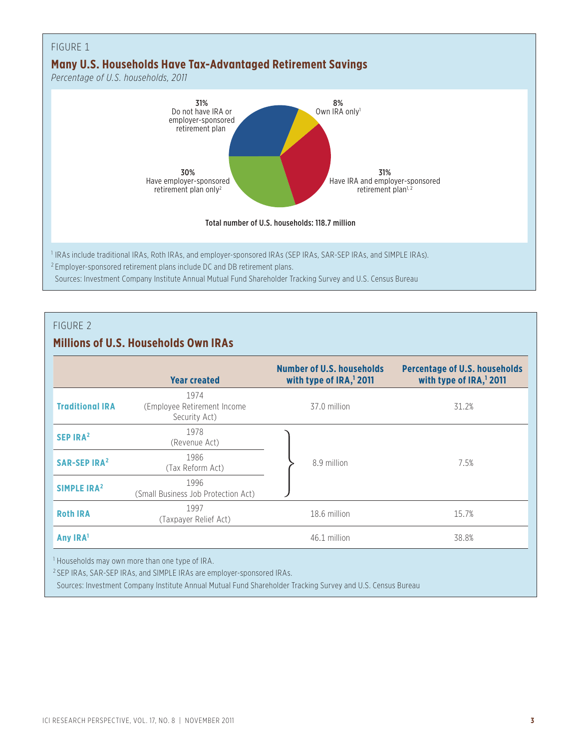

## **Millions of U.S. Households Own IRAs**

|                                                            | <b>Year created</b>                                  | Number of U.S. households<br>with type of IRA, <sup>1</sup> 2011 | <b>Percentage of U.S. households</b><br>with type of IRA, <sup>1</sup> 2011 |  |  |
|------------------------------------------------------------|------------------------------------------------------|------------------------------------------------------------------|-----------------------------------------------------------------------------|--|--|
| <b>Traditional IRA</b>                                     | 1974<br>(Employee Retirement Income<br>Security Act) | 37.0 million                                                     | 31.2%                                                                       |  |  |
| SEP IRA <sup>2</sup>                                       | 1978<br>(Revenue Act)                                |                                                                  |                                                                             |  |  |
| <b>SAR-SEP IRA<sup>2</sup></b>                             | 1986<br>(Tax Reform Act)                             | 8.9 million                                                      | 7.5%                                                                        |  |  |
| SIMPLE IRA <sup>2</sup>                                    | 1996<br>(Small Business Job Protection Act)          |                                                                  |                                                                             |  |  |
| <b>Roth IRA</b>                                            | 1997<br>(Taxpayer Relief Act)                        | 18.6 million                                                     | 15.7%                                                                       |  |  |
| Any IRA <sup>1</sup>                                       |                                                      | 46.1 million                                                     | 38.8%                                                                       |  |  |
| <sup>1</sup> Households may own more than one type of IRA. |                                                      |                                                                  |                                                                             |  |  |

2 SEP IRAs, SAR-SEP IRAs, and SIMPLE IRAs are employer-sponsored IRAs.

Sources: Investment Company Institute Annual Mutual Fund Shareholder Tracking Survey and U.S. Census Bureau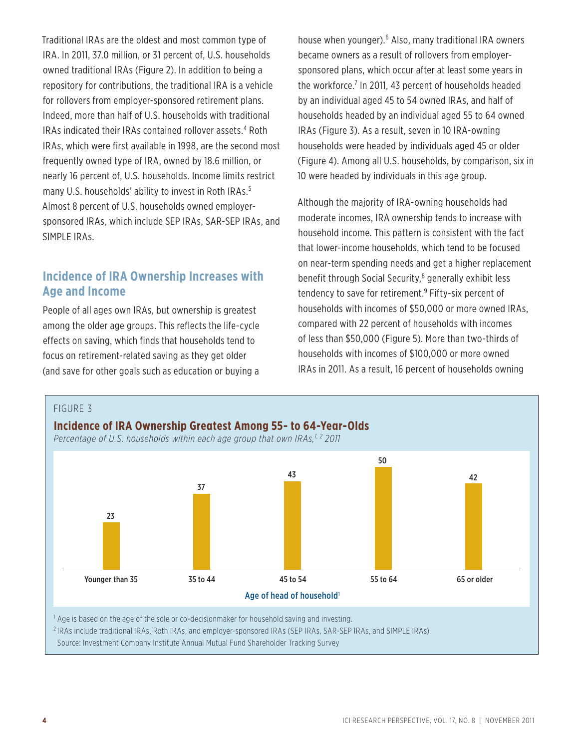Traditional IRAs are the oldest and most common type of IRA. In 2011, 37.0 million, or 31 percent of, U.S. households owned traditional IRAs (Figure 2). In addition to being a repository for contributions, the traditional IRA is a vehicle for rollovers from employer-sponsored retirement plans. Indeed, more than half of U.S. households with traditional IRAs indicated their IRAs contained rollover assets.<sup>4</sup> Roth IRAs, which were first available in 1998, are the second most frequently owned type of IRA, owned by 18.6 million, or nearly 16 percent of, U.S. households. Income limits restrict many U.S. households' ability to invest in Roth IRAs.<sup>5</sup> Almost 8 percent of U.S. households owned employersponsored IRAs, which include SEP IRAs, SAR-SEP IRAs, and SIMPLE IRAs.

## **Incidence of IRA Ownership Increases with Age and Income**

People of all ages own IRAs, but ownership is greatest among the older age groups. This reflects the life-cycle effects on saving, which finds that households tend to focus on retirement-related saving as they get older (and save for other goals such as education or buying a

house when younger).<sup>6</sup> Also, many traditional IRA owners became owners as a result of rollovers from employersponsored plans, which occur after at least some years in the workforce.<sup>7</sup> In 2011, 43 percent of households headed by an individual aged 45 to 54 owned IRAs, and half of households headed by an individual aged 55 to 64 owned IRAs (Figure 3). As a result, seven in 10 IRA-owning households were headed by individuals aged 45 or older (Figure 4). Among all U.S. households, by comparison, six in 10 were headed by individuals in this age group.

Although the majority of IRA-owning households had moderate incomes, IRA ownership tends to increase with household income. This pattern is consistent with the fact that lower-income households, which tend to be focused on near-term spending needs and get a higher replacement benefit through Social Security,<sup>8</sup> generally exhibit less tendency to save for retirement.<sup>9</sup> Fifty-six percent of households with incomes of \$50,000 or more owned IRAs, compared with 22 percent of households with incomes of less than \$50,000 (Figure 5). More than two-thirds of households with incomes of \$100,000 or more owned IRAs in 2011. As a result, 16 percent of households owning

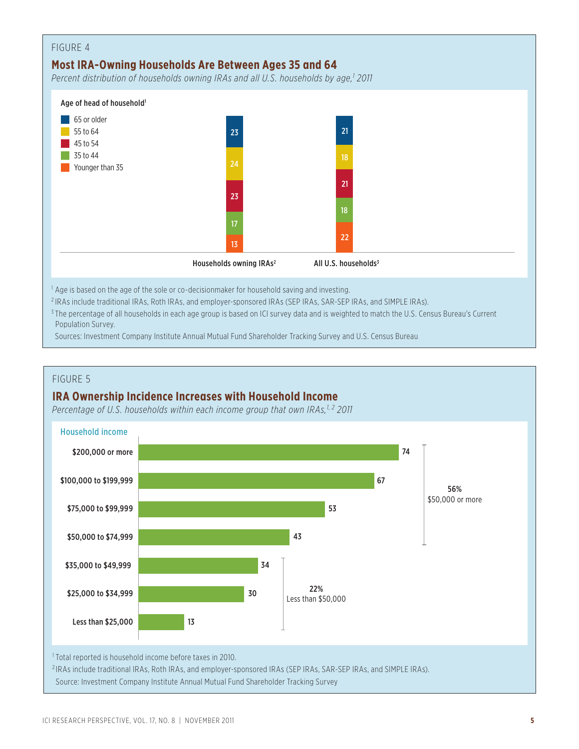

2 IRAs include traditional IRAs, Roth IRAs, and employer-sponsored IRAs (SEP IRAs, SAR-SEP IRAs, and SIMPLE IRAs).

<sup>3</sup> The percentage of all households in each age group is based on ICI survey data and is weighted to match the U.S. Census Bureau's Current Population Survey.

Sources: Investment Company Institute Annual Mutual Fund Shareholder Tracking Survey and U.S. Census Bureau

#### FIGURE 5

## **IRA Ownership Incidence Increases with Household Income**

Percentage of U.S. households within each income group that own IRAs,<sup>1,2</sup> 2011



Source: Investment Company Institute Annual Mutual Fund Shareholder Tracking Survey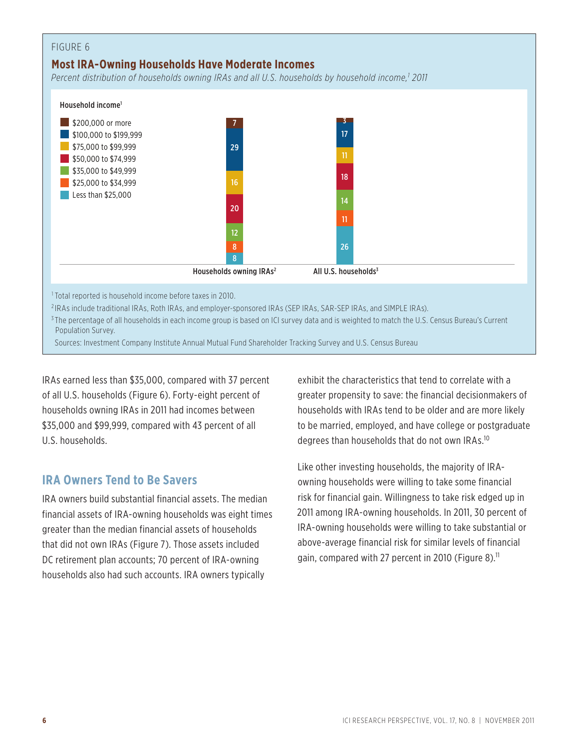## **Most IRA-Owning Households Have Moderate Incomes**

*Percent distribution of households owning IRAs and all U.S. households by household income,1 2011*



Sources: Investment Company Institute Annual Mutual Fund Shareholder Tracking Survey and U.S. Census Bureau

IRAs earned less than \$35,000, compared with 37 percent of all U.S. households (Figure 6). Forty-eight percent of households owning IRAs in 2011 had incomes between \$35,000 and \$99,999, compared with 43 percent of all U.S. households.

## **IRA Owners Tend to Be Savers**

IRA owners build substantial financial assets. The median financial assets of IRA-owning households was eight times greater than the median financial assets of households that did not own IRAs (Figure 7). Those assets included DC retirement plan accounts; 70 percent of IRA-owning households also had such accounts. IRA owners typically

exhibit the characteristics that tend to correlate with a greater propensity to save: the financial decisionmakers of households with IRAs tend to be older and are more likely to be married, employed, and have college or postgraduate degrees than households that do not own IRAs.10

Like other investing households, the majority of IRAowning households were willing to take some financial risk for financial gain. Willingness to take risk edged up in 2011 among IRA-owning households. In 2011, 30 percent of IRA-owning households were willing to take substantial or above-average financial risk for similar levels of financial gain, compared with 27 percent in 2010 (Figure 8).<sup>11</sup>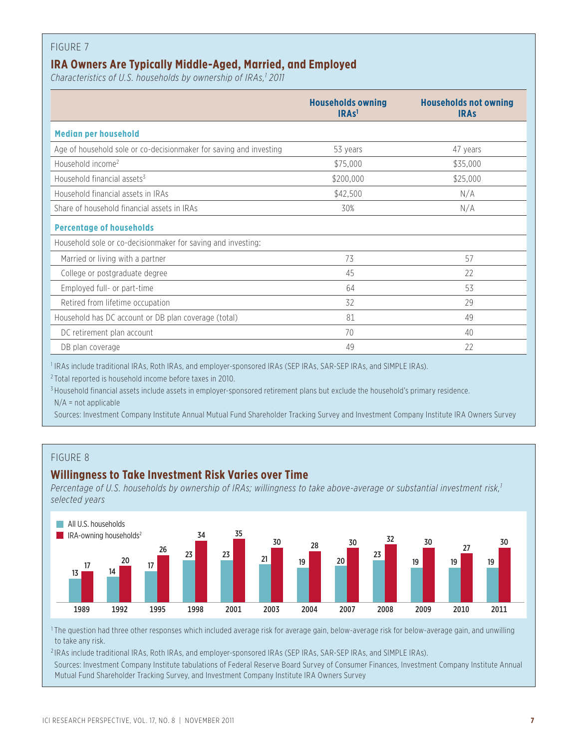## **IRA Owners Are Typically Middle-Aged, Married, and Employed**

Characteristics of U.S. households by ownership of IRAs,<sup>1</sup> 2011

|                                                                    | <b>Households owning</b><br>IRAs <sup>1</sup> | <b>Households not owning</b><br><b>IRAS</b> |
|--------------------------------------------------------------------|-----------------------------------------------|---------------------------------------------|
| <b>Median per household</b>                                        |                                               |                                             |
| Age of household sole or co-decisionmaker for saving and investing | 53 years                                      | 47 years                                    |
| Household income <sup>2</sup>                                      | \$75,000                                      | \$35,000                                    |
| Household financial assets <sup>3</sup>                            | \$200,000                                     | \$25,000                                    |
| Household financial assets in IRAs                                 | \$42,500                                      | N/A                                         |
| Share of household financial assets in IRAs                        | 30%                                           | N/A                                         |
| <b>Percentage of households</b>                                    |                                               |                                             |
| Household sole or co-decisionmaker for saving and investing:       |                                               |                                             |
| Married or living with a partner                                   | 73                                            | 57                                          |
| College or postgraduate degree                                     | 45                                            | 22                                          |
| Employed full- or part-time                                        | 64                                            | 53                                          |
| Retired from lifetime occupation                                   | 32                                            | 29                                          |
| Household has DC account or DB plan coverage (total)               | 81                                            | 49                                          |
| DC retirement plan account                                         | 70                                            | 40                                          |
| DB plan coverage                                                   | 49                                            | 22                                          |

<sup>1</sup> IRAs include traditional IRAs, Roth IRAs, and employer-sponsored IRAs (SEP IRAs, SAR-SEP IRAs, and SIMPLE IRAs).

2 Total reported is household income before taxes in 2010.

<sup>3</sup> Household financial assets include assets in employer-sponsored retirement plans but exclude the household's primary residence. N/A = not applicable

Sources: Investment Company Institute Annual Mutual Fund Shareholder Tracking Survey and Investment Company Institute IRA Owners Survey

## FIGURE 8

## **Willingness to Take Investment Risk Varies over Time**

Percentage of U.S. households by ownership of IRAs; willingness to take above-average or substantial investment risk,<sup>1</sup> *selected years*



<sup>1</sup> The question had three other responses which included average risk for average gain, below-average risk for below-average gain, and unwilling to take any risk.

<sup>2</sup> IRAs include traditional IRAs, Roth IRAs, and employer-sponsored IRAs (SEP IRAs, SAR-SEP IRAs, and SIMPLE IRAs). Sources: Investment Company Institute tabulations of Federal Reserve Board Survey of Consumer Finances, Investment Company Institute Annual Mutual Fund Shareholder Tracking Survey, and Investment Company Institute IRA Owners Survey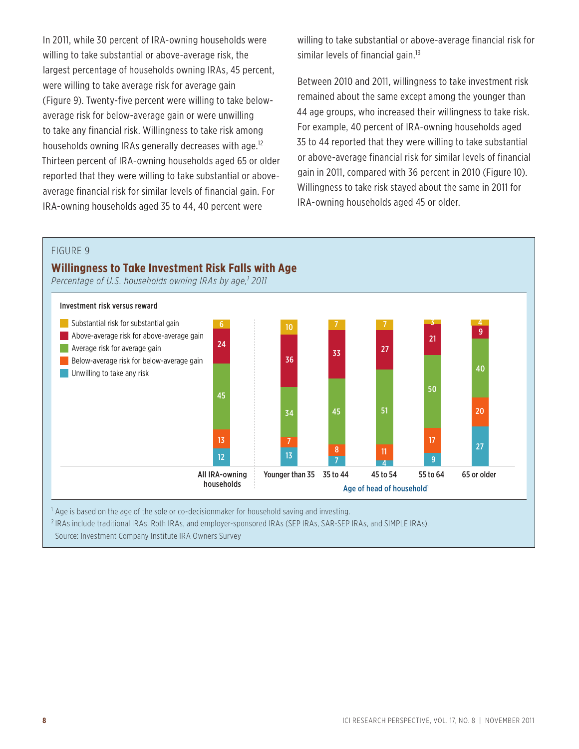In 2011, while 30 percent of IRA-owning households were willing to take substantial or above-average risk, the largest percentage of households owning IRAs, 45 percent, were willing to take average risk for average gain (Figure 9). Twenty-five percent were willing to take belowaverage risk for below-average gain or were unwilling to take any financial risk. Willingness to take risk among households owning IRAs generally decreases with age.<sup>12</sup> Thirteen percent of IRA-owning households aged 65 or older reported that they were willing to take substantial or aboveaverage financial risk for similar levels of financial gain. For IRA-owning households aged 35 to 44, 40 percent were

willing to take substantial or above-average financial risk for similar levels of financial gain.<sup>13</sup>

Between 2010 and 2011, willingness to take investment risk remained about the same except among the younger than 44 age groups, who increased their willingness to take risk. For example, 40 percent of IRA-owning households aged 35 to 44 reported that they were willing to take substantial or above-average financial risk for similar levels of financial gain in 2011, compared with 36 percent in 2010 (Figure 10). Willingness to take risk stayed about the same in 2011 for IRA-owning households aged 45 or older.

#### FIGURE 9

#### **Willingness to Take Investment Risk Falls with Age**

Percentage of U.S. households owning IRAs by age,<sup>1</sup> 2011



<sup>1</sup> Age is based on the age of the sole or co-decisionmaker for household saving and investing.

2 IRAs include traditional IRAs, Roth IRAs, and employer-sponsored IRAs (SEP IRAs, SAR-SEP IRAs, and SIMPLE IRAs).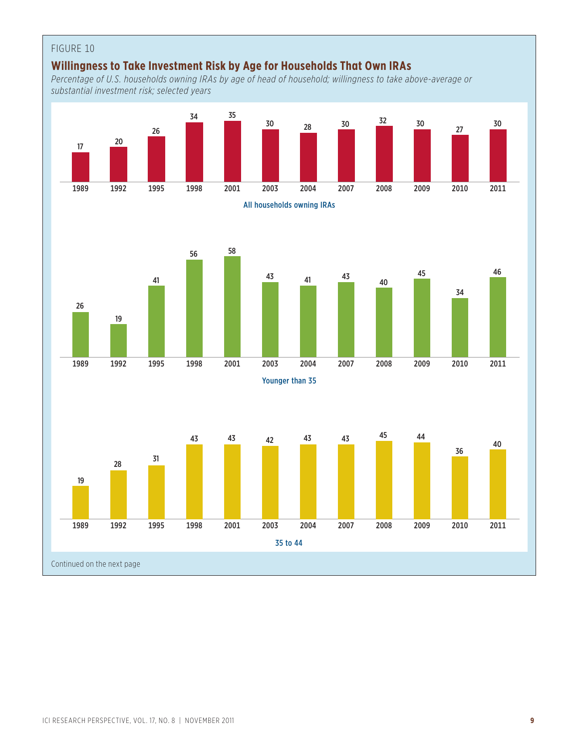## FIGURE 10 **Willingness to Take Investment Risk by Age for Households That Own IRAs** *Percentage of U.S. households owning IRAs by age of head of household; willingness to take above-average or substantial investment risk; selected years* 1989 1992 1995 1998 2001 2003 2004 2007 2008 2009 2010 2011 <sup>17</sup> <sup>20</sup> 26 34 35  $\frac{30}{28}$   $\frac{30}{27}$   $\frac{32}{27}$   $\frac{30}{27}$  27 30 All households owning IRAs 1989 1992 1995 1998 2001 2003 2004 2007 2008 2009 2010 2011 26 19 41 56 58  $\frac{43}{1}$   $\frac{41}{1}$   $\frac{43}{1}$  40 45 34 46 Younger than 35 1989 1992 1995 1998 2001 2003 2004 2007 2008 2009 2010 2011 19 <sup>28</sup> <sup>31</sup> 43 43 43 43 45 44 36 40 35 to 44 Continued on the next page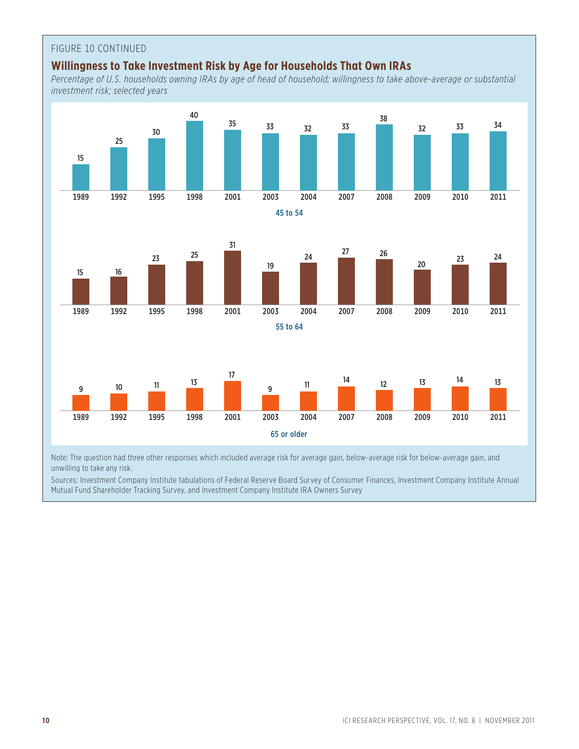## FIGURE 10 CONTINUED

## **Willingness to Take Investment Risk by Age for Households That Own IRAs**

*Percentage of U.S. households owning IRAs by age of head of household; willingness to take above-average or substantial investment risk; selected years*



Note: The question had three other responses which included average risk for average gain, below-average risk for below-average gain, and unwilling to take any risk.

Sources: Investment Company Institute tabulations of Federal Reserve Board Survey of Consumer Finances, Investment Company Institute Annual Mutual Fund Shareholder Tracking Survey, and Investment Company Institute IRA Owners Survey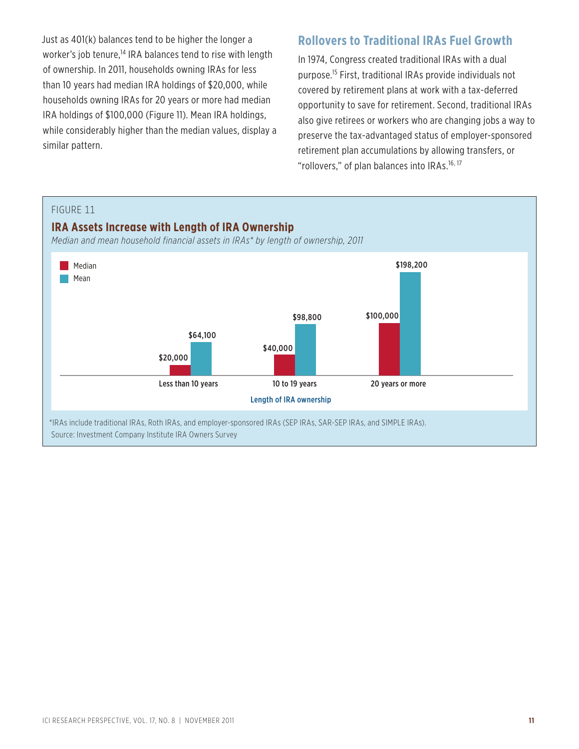Just as 401(k) balances tend to be higher the longer a worker's job tenure,<sup>14</sup> IRA balances tend to rise with length of ownership. In 2011, households owning IRAs for less than 10 years had median IRA holdings of \$20,000, while households owning IRAs for 20 years or more had median IRA holdings of \$100,000 (Figure 11). Mean IRA holdings, while considerably higher than the median values, display a similar pattern.

## **Rollovers to Traditional IRAs Fuel Growth**

In 1974, Congress created traditional IRAs with a dual purpose.15 First, traditional IRAs provide individuals not covered by retirement plans at work with a tax-deferred opportunity to save for retirement. Second, traditional IRAs also give retirees or workers who are changing jobs a way to preserve the tax-advantaged status of employer-sponsored retirement plan accumulations by allowing transfers, or "rollovers," of plan balances into IRAs.<sup>16, 17</sup>

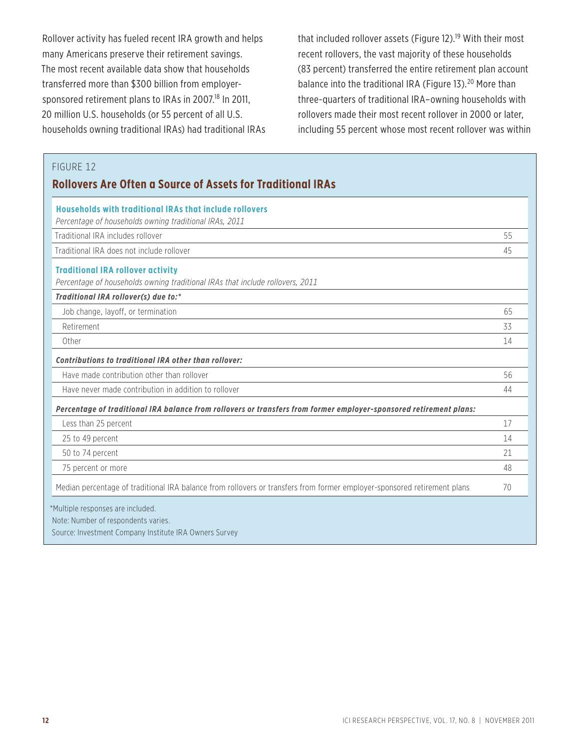Rollover activity has fueled recent IRA growth and helps many Americans preserve their retirement savings. The most recent available data show that households transferred more than \$300 billion from employersponsored retirement plans to IRAs in 2007.<sup>18</sup> In 2011, 20 million U.S. households (or 55 percent of all U.S. households owning traditional IRAs) had traditional IRAs that included rollover assets (Figure 12).<sup>19</sup> With their most recent rollovers, the vast majority of these households (83 percent) transferred the entire retirement plan account balance into the traditional IRA (Figure 13).<sup>20</sup> More than three-quarters of traditional IRA–owning households with rollovers made their most recent rollover in 2000 or later, including 55 percent whose most recent rollover was within

## FIGURE 12

## **Rollovers Are Often a Source of Assets for Traditional IRAs**

| <b>Households with traditional IRAs that include rollovers</b>                                                           |    |
|--------------------------------------------------------------------------------------------------------------------------|----|
| Percentage of households owning traditional IRAs, 2011                                                                   |    |
| Traditional IRA includes rollover                                                                                        | 55 |
| Traditional IRA does not include rollover                                                                                | 45 |
| <b>Traditional IRA rollover activity</b>                                                                                 |    |
| Percentage of households owning traditional IRAs that include rollovers, 2011                                            |    |
| Traditional IRA rollover(s) due to:*                                                                                     |    |
| Job change, layoff, or termination                                                                                       | 65 |
| Retirement                                                                                                               | 33 |
| Other                                                                                                                    | 14 |
| Contributions to traditional IRA other than rollover:                                                                    |    |
| Have made contribution other than rollover                                                                               | 56 |
| Have never made contribution in addition to rollover                                                                     | 44 |
| Percentage of traditional IRA balance from rollovers or transfers from former employer-sponsored retirement plans:       |    |
| Less than 25 percent                                                                                                     | 17 |
| 25 to 49 percent                                                                                                         | 14 |
| 50 to 74 percent                                                                                                         | 21 |
| 75 percent or more                                                                                                       | 48 |
| Median percentage of traditional IRA balance from rollovers or transfers from former employer-sponsored retirement plans | 70 |
| *Multiple responses are included.                                                                                        |    |
| Note: Number of respondents varies.                                                                                      |    |
| Source: Investment Company Institute IRA Owners Survey                                                                   |    |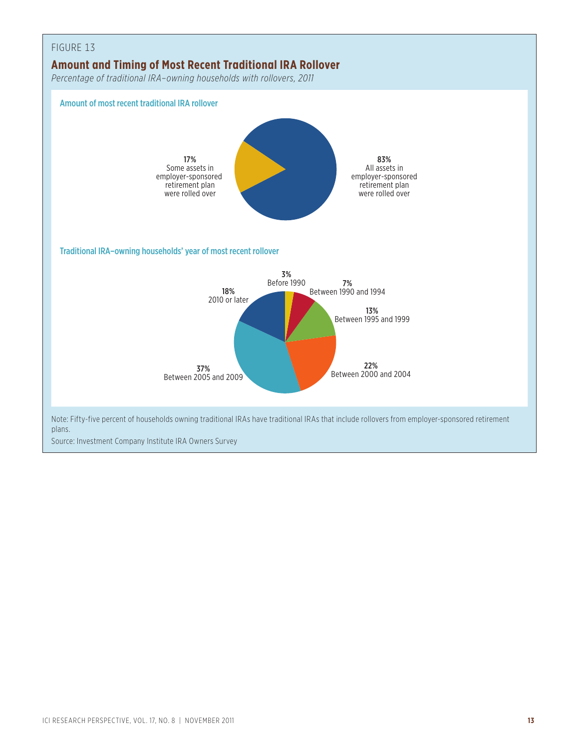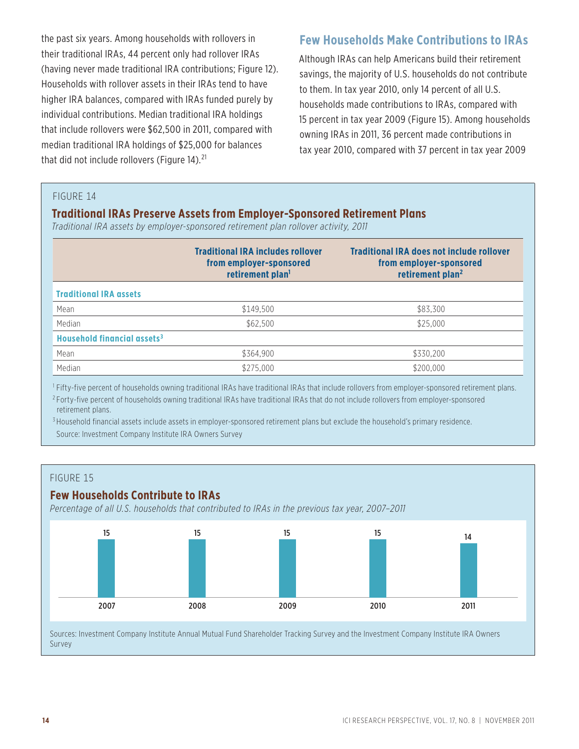the past six years. Among households with rollovers in their traditional IRAs, 44 percent only had rollover IRAs (having never made traditional IRA contributions; Figure 12). Households with rollover assets in their IRAs tend to have higher IRA balances, compared with IRAs funded purely by individual contributions. Median traditional IRA holdings that include rollovers were \$62,500 in 2011, compared with median traditional IRA holdings of \$25,000 for balances that did not include rollovers (Figure 14).<sup>21</sup>

## **Few Households Make Contributions to IRAs**

Although IRAs can help Americans build their retirement savings, the majority of U.S. households do not contribute to them. In tax year 2010, only 14 percent of all U.S. households made contributions to IRAs, compared with 15 percent in tax year 2009 (Figure 15). Among households owning IRAs in 2011, 36 percent made contributions in tax year 2010, compared with 37 percent in tax year 2009

#### FIGURE 14

### **Traditional IRAs Preserve Assets from Employer-Sponsored Retirement Plans**

*Traditional IRA assets by employer-sponsored retirement plan rollover activity, 2011*

|                                         | <b>Traditional IRA includes rollover</b><br>from employer-sponsored<br>retirement plan <sup>1</sup> | <b>Traditional IRA does not include rollover</b><br>from employer-sponsored<br>retirement plan <sup>2</sup> |
|-----------------------------------------|-----------------------------------------------------------------------------------------------------|-------------------------------------------------------------------------------------------------------------|
| <b>Traditional IRA assets</b>           |                                                                                                     |                                                                                                             |
| Mean                                    | \$149.500                                                                                           | \$83,300                                                                                                    |
| Median                                  | \$62,500                                                                                            | \$25,000                                                                                                    |
| Household financial assets <sup>3</sup> |                                                                                                     |                                                                                                             |
| Mean                                    | \$364,900                                                                                           | \$330,200                                                                                                   |
| Median                                  | \$275,000                                                                                           | \$200,000                                                                                                   |

<sup>1</sup> Fifty-five percent of households owning traditional IRAs have traditional IRAs that include rollovers from employer-sponsored retirement plans. <sup>2</sup> Forty-five percent of households owning traditional IRAs have traditional IRAs that do not include rollovers from employer-sponsored retirement plans.

<sup>3</sup> Household financial assets include assets in employer-sponsored retirement plans but exclude the household's primary residence. Source: Investment Company Institute IRA Owners Survey

#### FIGURE 15

### **Few Households Contribute to IRAs**

*Percentage of all U.S. households that contributed to IRAs in the previous tax year, 2007–2011*



Sources: Investment Company Institute Annual Mutual Fund Shareholder Tracking Survey and the Investment Company Institute IRA Owners Survey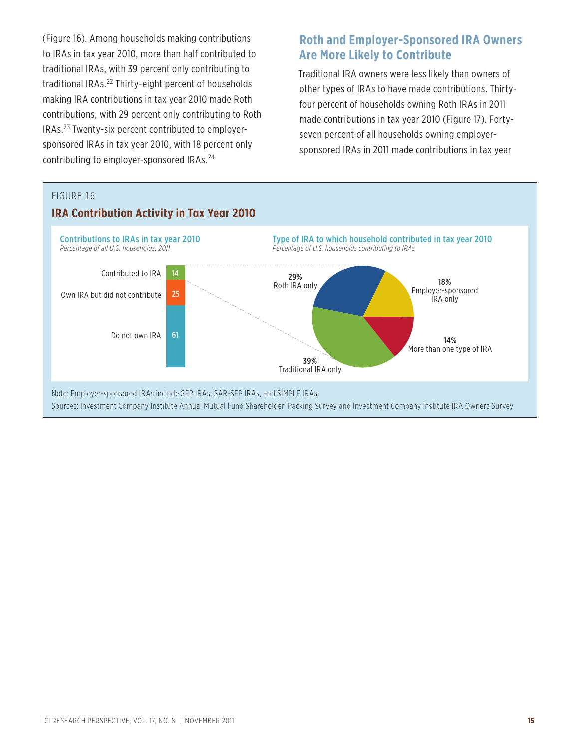(Figure 16). Among households making contributions to IRAs in tax year 2010, more than half contributed to traditional IRAs, with 39 percent only contributing to traditional IRAs.<sup>22</sup> Thirty-eight percent of households making IRA contributions in tax year 2010 made Roth contributions, with 29 percent only contributing to Roth IRAs.23 Twenty-six percent contributed to employersponsored IRAs in tax year 2010, with 18 percent only contributing to employer-sponsored IRAs.24

## **Roth and Employer-Sponsored IRA Owners Are More Likely to Contribute**

Traditional IRA owners were less likely than owners of other types of IRAs to have made contributions. Thirtyfour percent of households owning Roth IRAs in 2011 made contributions in tax year 2010 (Figure 17). Fortyseven percent of all households owning employersponsored IRAs in 2011 made contributions in tax year

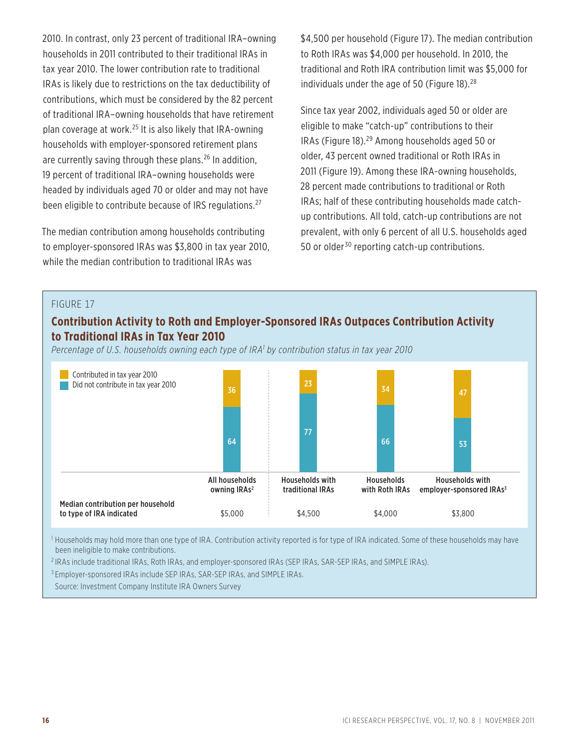2010. In contrast, only 23 percent of traditional IRA–owning households in 2011 contributed to their traditional IRAs in tax year 2010. The lower contribution rate to traditional IRAs is likely due to restrictions on the tax deductibility of contributions, which must be considered by the 82 percent of traditional IRA–owning households that have retirement plan coverage at work.25 It is also likely that IRA-owning households with employer-sponsored retirement plans are currently saving through these plans.<sup>26</sup> In addition, 19 percent of traditional IRA–owning households were headed by individuals aged 70 or older and may not have been eligible to contribute because of IRS regulations.<sup>27</sup>

The median contribution among households contributing to employer-sponsored IRAs was \$3,800 in tax year 2010, while the median contribution to traditional IRAs was

\$4,500 per household (Figure 17). The median contribution to Roth IRAs was \$4,000 per household. In 2010, the traditional and Roth IRA contribution limit was \$5,000 for individuals under the age of 50 (Figure  $18.28$ )

Since tax year 2002, individuals aged 50 or older are eligible to make "catch-up" contributions to their IRAs (Figure 18).29 Among households aged 50 or older, 43 percent owned traditional or Roth IRAs in 2011 (Figure 19). Among these IRA-owning households, 28 percent made contributions to traditional or Roth IRAs; half of these contributing households made catchup contributions. All told, catch-up contributions are not prevalent, with only 6 percent of all U.S. households aged 50 or older<sup>30</sup> reporting catch-up contributions.

#### FIGURE 17

## **Contribution Activity to Roth and Employer-Sponsored IRAs Outpaces Contribution Activity to Traditional IRAs in Tax Year 2010**

Percentage of U.S. households owning each type of IRA<sup>1</sup> by contribution status in tax year 2010



<sup>1</sup> Households may hold more than one type of IRA. Contribution activity reported is for type of IRA indicated. Some of these households may have been ineligible to make contributions.

2 IRAs include traditional IRAs, Roth IRAs, and employer-sponsored IRAs (SEP IRAs, SAR-SEP IRAs, and SIMPLE IRAs).

<sup>3</sup> Employer-sponsored IRAs include SEP IRAs, SAR-SEP IRAs, and SIMPLE IRAs.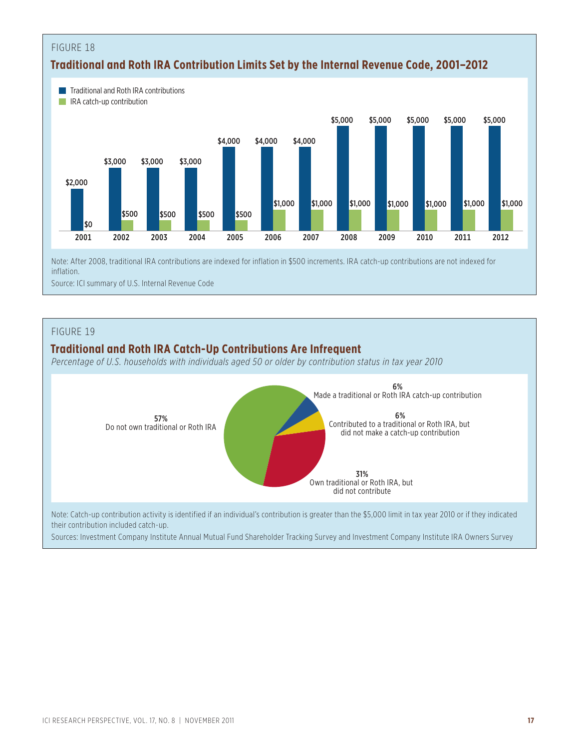

Source: ICI summary of U.S. Internal Revenue Code

#### FIGURE 19

## **Traditional and Roth IRA Catch-Up Contributions Are Infrequent**

*Percentage of U.S. households with individuals aged 50 or older by contribution status in tax year 2010*



their contribution included catch-up.

Sources: Investment Company Institute Annual Mutual Fund Shareholder Tracking Survey and Investment Company Institute IRA Owners Survey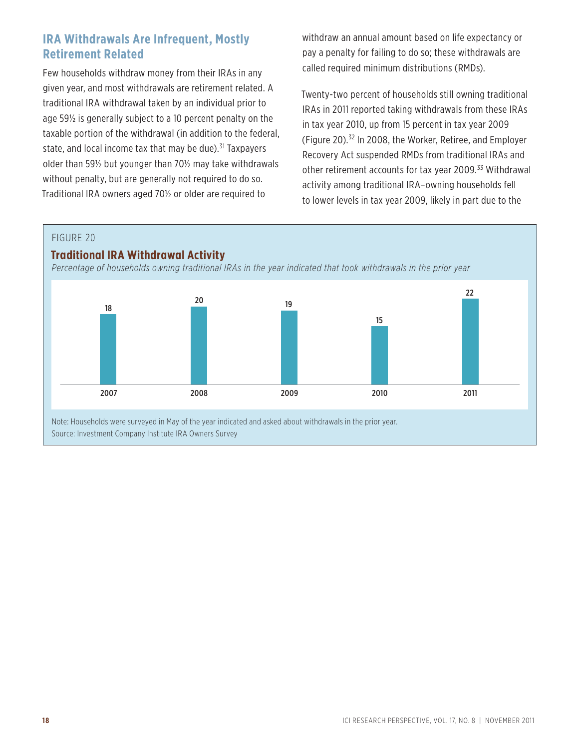## **IRA Withdrawals Are Infrequent, Mostly Retirement Related**

Few households withdraw money from their IRAs in any given year, and most withdrawals are retirement related. A traditional IRA withdrawal taken by an individual prior to age 59½ is generally subject to a 10 percent penalty on the taxable portion of the withdrawal (in addition to the federal, state, and local income tax that may be due). $31$  Taxpayers older than 59½ but younger than 70½ may take withdrawals without penalty, but are generally not required to do so. Traditional IRA owners aged 70½ or older are required to

withdraw an annual amount based on life expectancy or pay a penalty for failing to do so; these withdrawals are called required minimum distributions (RMDs).

Twenty-two percent of households still owning traditional IRAs in 2011 reported taking withdrawals from these IRAs in tax year 2010, up from 15 percent in tax year 2009 (Figure 20).32 In 2008, the Worker, Retiree, and Employer Recovery Act suspended RMDs from traditional IRAs and other retirement accounts for tax year 2009.<sup>33</sup> Withdrawal activity among traditional IRA–owning households fell to lower levels in tax year 2009, likely in part due to the

FIGURE 20

### **Traditional IRA Withdrawal Activity**

*Percentage of households owning traditional IRAs in the year indicated that took withdrawals in the prior year*

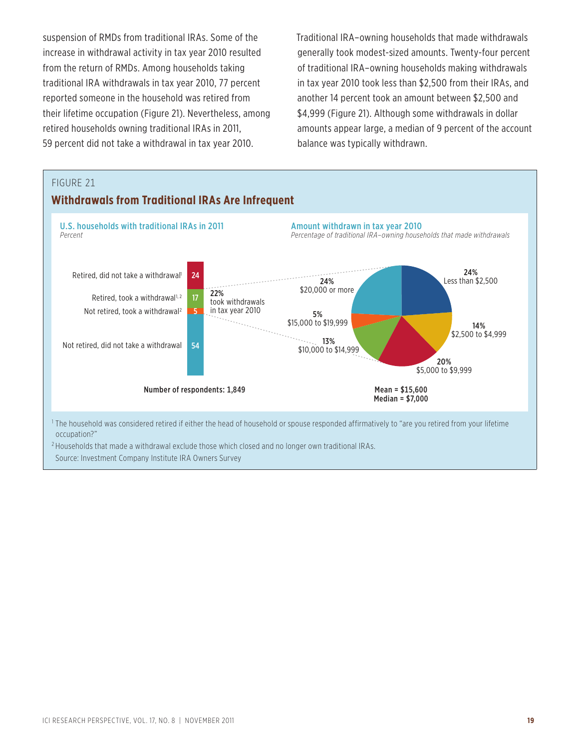suspension of RMDs from traditional IRAs. Some of the increase in withdrawal activity in tax year 2010 resulted from the return of RMDs. Among households taking traditional IRA withdrawals in tax year 2010, 77 percent reported someone in the household was retired from their lifetime occupation (Figure 21). Nevertheless, among retired households owning traditional IRAs in 2011, 59 percent did not take a withdrawal in tax year 2010.

Traditional IRA–owning households that made withdrawals generally took modest-sized amounts. Twenty-four percent of traditional IRA–owning households making withdrawals in tax year 2010 took less than \$2,500 from their IRAs, and another 14 percent took an amount between \$2,500 and \$4,999 (Figure 21). Although some withdrawals in dollar amounts appear large, a median of 9 percent of the account balance was typically withdrawn.



<sup>2</sup> Households that made a withdrawal exclude those which closed and no longer own traditional IRAs.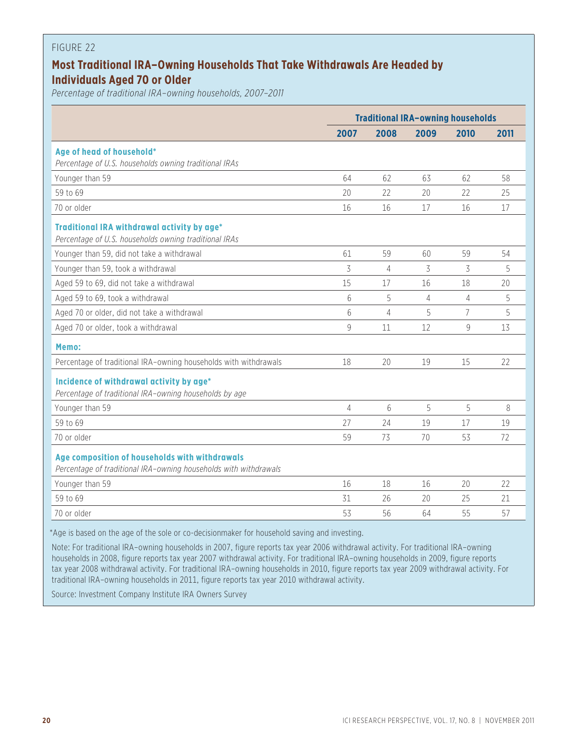## **Most Traditional IRA–Owning Households That Take Withdrawals Are Headed by Individuals Aged 70 or Older**

*Percentage of traditional IRA–owning households, 2007–2011*

| 2007<br>2008<br>2009<br>2010<br>2011<br>Age of head of household*<br>Percentage of U.S. households owning traditional IRAs<br>Younger than 59<br>64<br>62<br>62<br>58<br>63<br>59 to 69<br>22<br>22<br>25<br>20<br>20<br>70 or older<br>16<br>17<br>16<br>17<br>16<br>Traditional IRA withdrawal activity by age*<br>Percentage of U.S. households owning traditional IRAs<br>59<br>59<br>54<br>Younger than 59, did not take a withdrawal<br>61<br>60<br>3<br>3<br>3<br>Younger than 59, took a withdrawal<br>4<br>5<br>15<br>18<br>20<br>Aged 59 to 69, did not take a withdrawal<br>17<br>16<br>5<br>5<br>Aged 59 to 69, took a withdrawal<br>6<br>4<br>4<br>6<br>5<br>7<br>5<br>Aged 70 or older, did not take a withdrawal<br>4<br>9<br>12<br>9<br>13<br>Aged 70 or older, took a withdrawal<br>11<br>Memo:<br>Percentage of traditional IRA-owning households with withdrawals<br>20<br>19<br>15<br>22<br>18<br>Incidence of withdrawal activity by age*<br>Percentage of traditional IRA-owning households by age<br>5<br>5<br>Younger than 59<br>4<br>6<br>8<br>59 to 69<br>27<br>24<br>17<br>19<br>19<br>70 or older<br>72<br>59<br>73<br>70<br>53<br>Age composition of households with withdrawals<br>Percentage of traditional IRA-owning households with withdrawals<br>Younger than 59<br>18<br>16<br>20<br>22<br>16<br>59 to 69<br>31<br>26<br>20<br>25<br>21<br>70 or older<br>53<br>56<br>64<br>55<br>57 | <b>Traditional IRA-owning households</b> |  |  |  |  |
|---------------------------------------------------------------------------------------------------------------------------------------------------------------------------------------------------------------------------------------------------------------------------------------------------------------------------------------------------------------------------------------------------------------------------------------------------------------------------------------------------------------------------------------------------------------------------------------------------------------------------------------------------------------------------------------------------------------------------------------------------------------------------------------------------------------------------------------------------------------------------------------------------------------------------------------------------------------------------------------------------------------------------------------------------------------------------------------------------------------------------------------------------------------------------------------------------------------------------------------------------------------------------------------------------------------------------------------------------------------------------------------------------------------------------|------------------------------------------|--|--|--|--|
|                                                                                                                                                                                                                                                                                                                                                                                                                                                                                                                                                                                                                                                                                                                                                                                                                                                                                                                                                                                                                                                                                                                                                                                                                                                                                                                                                                                                                           |                                          |  |  |  |  |
|                                                                                                                                                                                                                                                                                                                                                                                                                                                                                                                                                                                                                                                                                                                                                                                                                                                                                                                                                                                                                                                                                                                                                                                                                                                                                                                                                                                                                           |                                          |  |  |  |  |
|                                                                                                                                                                                                                                                                                                                                                                                                                                                                                                                                                                                                                                                                                                                                                                                                                                                                                                                                                                                                                                                                                                                                                                                                                                                                                                                                                                                                                           |                                          |  |  |  |  |
|                                                                                                                                                                                                                                                                                                                                                                                                                                                                                                                                                                                                                                                                                                                                                                                                                                                                                                                                                                                                                                                                                                                                                                                                                                                                                                                                                                                                                           |                                          |  |  |  |  |
|                                                                                                                                                                                                                                                                                                                                                                                                                                                                                                                                                                                                                                                                                                                                                                                                                                                                                                                                                                                                                                                                                                                                                                                                                                                                                                                                                                                                                           |                                          |  |  |  |  |
|                                                                                                                                                                                                                                                                                                                                                                                                                                                                                                                                                                                                                                                                                                                                                                                                                                                                                                                                                                                                                                                                                                                                                                                                                                                                                                                                                                                                                           |                                          |  |  |  |  |
|                                                                                                                                                                                                                                                                                                                                                                                                                                                                                                                                                                                                                                                                                                                                                                                                                                                                                                                                                                                                                                                                                                                                                                                                                                                                                                                                                                                                                           |                                          |  |  |  |  |
|                                                                                                                                                                                                                                                                                                                                                                                                                                                                                                                                                                                                                                                                                                                                                                                                                                                                                                                                                                                                                                                                                                                                                                                                                                                                                                                                                                                                                           |                                          |  |  |  |  |
|                                                                                                                                                                                                                                                                                                                                                                                                                                                                                                                                                                                                                                                                                                                                                                                                                                                                                                                                                                                                                                                                                                                                                                                                                                                                                                                                                                                                                           |                                          |  |  |  |  |
|                                                                                                                                                                                                                                                                                                                                                                                                                                                                                                                                                                                                                                                                                                                                                                                                                                                                                                                                                                                                                                                                                                                                                                                                                                                                                                                                                                                                                           |                                          |  |  |  |  |
|                                                                                                                                                                                                                                                                                                                                                                                                                                                                                                                                                                                                                                                                                                                                                                                                                                                                                                                                                                                                                                                                                                                                                                                                                                                                                                                                                                                                                           |                                          |  |  |  |  |
|                                                                                                                                                                                                                                                                                                                                                                                                                                                                                                                                                                                                                                                                                                                                                                                                                                                                                                                                                                                                                                                                                                                                                                                                                                                                                                                                                                                                                           |                                          |  |  |  |  |
|                                                                                                                                                                                                                                                                                                                                                                                                                                                                                                                                                                                                                                                                                                                                                                                                                                                                                                                                                                                                                                                                                                                                                                                                                                                                                                                                                                                                                           |                                          |  |  |  |  |
|                                                                                                                                                                                                                                                                                                                                                                                                                                                                                                                                                                                                                                                                                                                                                                                                                                                                                                                                                                                                                                                                                                                                                                                                                                                                                                                                                                                                                           |                                          |  |  |  |  |
|                                                                                                                                                                                                                                                                                                                                                                                                                                                                                                                                                                                                                                                                                                                                                                                                                                                                                                                                                                                                                                                                                                                                                                                                                                                                                                                                                                                                                           |                                          |  |  |  |  |
|                                                                                                                                                                                                                                                                                                                                                                                                                                                                                                                                                                                                                                                                                                                                                                                                                                                                                                                                                                                                                                                                                                                                                                                                                                                                                                                                                                                                                           |                                          |  |  |  |  |
|                                                                                                                                                                                                                                                                                                                                                                                                                                                                                                                                                                                                                                                                                                                                                                                                                                                                                                                                                                                                                                                                                                                                                                                                                                                                                                                                                                                                                           |                                          |  |  |  |  |
|                                                                                                                                                                                                                                                                                                                                                                                                                                                                                                                                                                                                                                                                                                                                                                                                                                                                                                                                                                                                                                                                                                                                                                                                                                                                                                                                                                                                                           |                                          |  |  |  |  |
|                                                                                                                                                                                                                                                                                                                                                                                                                                                                                                                                                                                                                                                                                                                                                                                                                                                                                                                                                                                                                                                                                                                                                                                                                                                                                                                                                                                                                           |                                          |  |  |  |  |
|                                                                                                                                                                                                                                                                                                                                                                                                                                                                                                                                                                                                                                                                                                                                                                                                                                                                                                                                                                                                                                                                                                                                                                                                                                                                                                                                                                                                                           |                                          |  |  |  |  |
|                                                                                                                                                                                                                                                                                                                                                                                                                                                                                                                                                                                                                                                                                                                                                                                                                                                                                                                                                                                                                                                                                                                                                                                                                                                                                                                                                                                                                           |                                          |  |  |  |  |
|                                                                                                                                                                                                                                                                                                                                                                                                                                                                                                                                                                                                                                                                                                                                                                                                                                                                                                                                                                                                                                                                                                                                                                                                                                                                                                                                                                                                                           |                                          |  |  |  |  |

\*Age is based on the age of the sole or co-decisionmaker for household saving and investing.

Note: For traditional IRA–owning households in 2007, figure reports tax year 2006 withdrawal activity. For traditional IRA–owning households in 2008, figure reports tax year 2007 withdrawal activity. For traditional IRA–owning households in 2009, figure reports tax year 2008 withdrawal activity. For traditional IRA–owning households in 2010, figure reports tax year 2009 withdrawal activity. For traditional IRA–owning households in 2011, figure reports tax year 2010 withdrawal activity.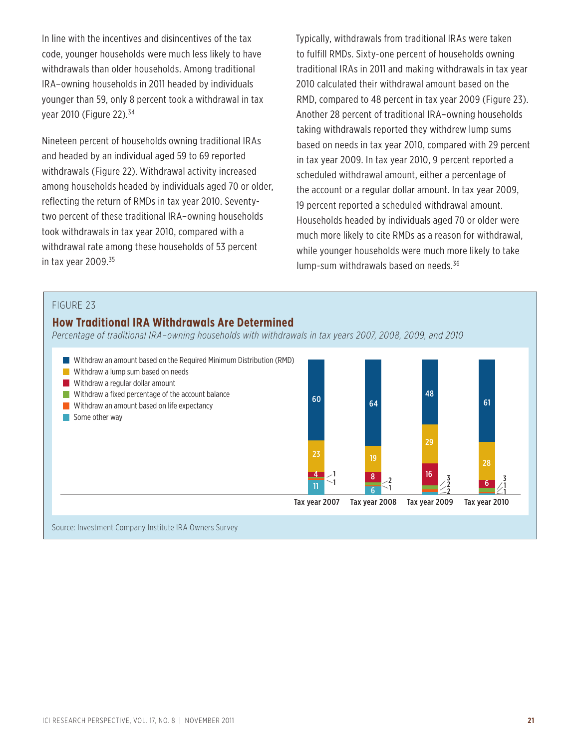In line with the incentives and disincentives of the tax code, younger households were much less likely to have withdrawals than older households. Among traditional IRA–owning households in 2011 headed by individuals younger than 59, only 8 percent took a withdrawal in tax year 2010 (Figure 22).34

Nineteen percent of households owning traditional IRAs and headed by an individual aged 59 to 69 reported withdrawals (Figure 22). Withdrawal activity increased among households headed by individuals aged 70 or older, reflecting the return of RMDs in tax year 2010. Seventytwo percent of these traditional IRA–owning households took withdrawals in tax year 2010, compared with a withdrawal rate among these households of 53 percent in tax year 2009.<sup>35</sup>

Typically, withdrawals from traditional IRAs were taken to fulfill RMDs. Sixty-one percent of households owning traditional IRAs in 2011 and making withdrawals in tax year 2010 calculated their withdrawal amount based on the RMD, compared to 48 percent in tax year 2009 (Figure 23). Another 28 percent of traditional IRA–owning households taking withdrawals reported they withdrew lump sums based on needs in tax year 2010, compared with 29 percent in tax year 2009. In tax year 2010, 9 percent reported a scheduled withdrawal amount, either a percentage of the account or a regular dollar amount. In tax year 2009, 19 percent reported a scheduled withdrawal amount. Households headed by individuals aged 70 or older were much more likely to cite RMDs as a reason for withdrawal, while younger households were much more likely to take lump-sum withdrawals based on needs.<sup>36</sup>

#### FIGURE 23

#### **How Traditional IRA Withdrawals Are Determined**

*Percentage of traditional IRA–owning households with withdrawals in tax years 2007, 2008, 2009, and 2010*

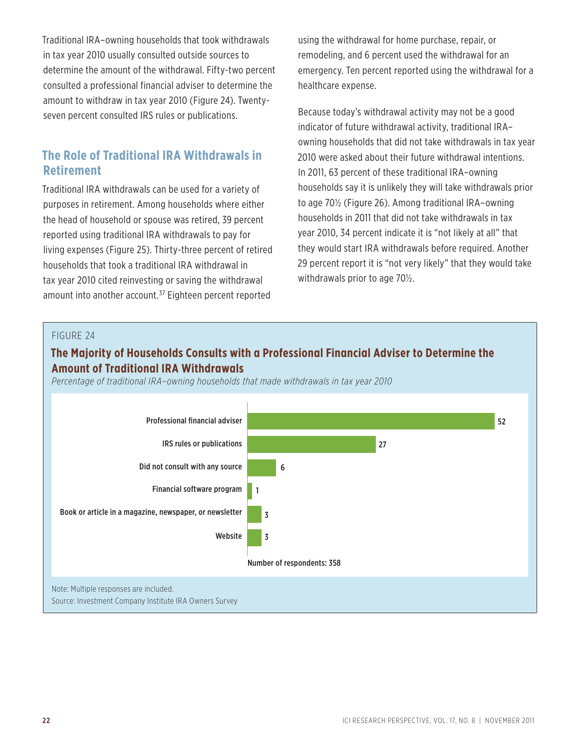Traditional IRA–owning households that took withdrawals in tax year 2010 usually consulted outside sources to determine the amount of the withdrawal. Fifty-two percent consulted a professional financial adviser to determine the amount to withdraw in tax year 2010 (Figure 24). Twentyseven percent consulted IRS rules or publications.

## **The Role of Traditional IRA Withdrawals in Retirement**

Traditional IRA withdrawals can be used for a variety of purposes in retirement. Among households where either the head of household or spouse was retired, 39 percent reported using traditional IRA withdrawals to pay for living expenses (Figure 25). Thirty-three percent of retired households that took a traditional IRA withdrawal in tax year 2010 cited reinvesting or saving the withdrawal amount into another account.<sup>37</sup> Eighteen percent reported

using the withdrawal for home purchase, repair, or remodeling, and 6 percent used the withdrawal for an emergency. Ten percent reported using the withdrawal for a healthcare expense.

Because today's withdrawal activity may not be a good indicator of future withdrawal activity, traditional IRA– owning households that did not take withdrawals in tax year 2010 were asked about their future withdrawal intentions. In 2011, 63 percent of these traditional IRA–owning households say it is unlikely they will take withdrawals prior to age 70½ (Figure 26). Among traditional IRA–owning households in 2011 that did not take withdrawals in tax year 2010, 34 percent indicate it is "not likely at all" that they would start IRA withdrawals before required. Another 29 percent report it is "not very likely" that they would take withdrawals prior to age 70½.

#### FIGURE 24

## **The Majority of Households Consults with a Professional Financial Adviser to Determine the Amount of Traditional IRA Withdrawals**

*Percentage of traditional IRA–owning households that made withdrawals in tax year 2010*

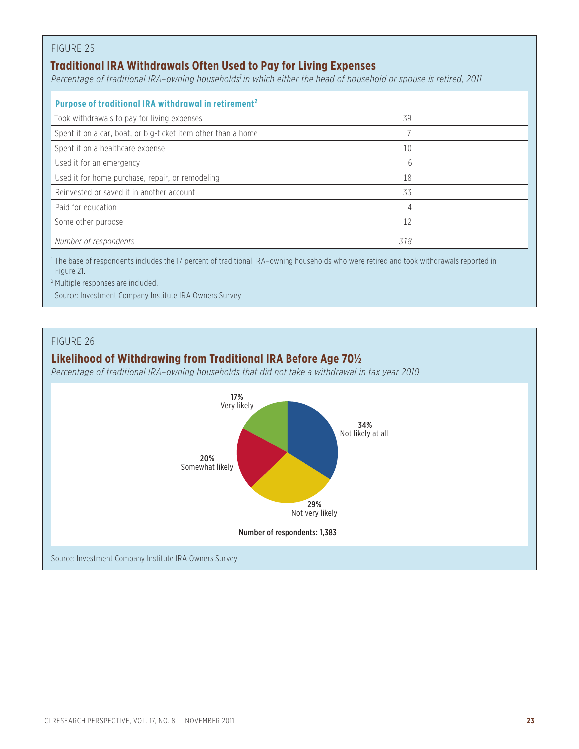## **Traditional IRA Withdrawals Often Used to Pay for Living Expenses**

Percentage of traditional IRA-owning households<sup>1</sup> in which either the head of household or spouse is retired, 2011

| Purpose of traditional IRA withdrawal in retirement <sup>2</sup> |              |
|------------------------------------------------------------------|--------------|
| Took withdrawals to pay for living expenses                      | 39           |
| Spent it on a car, boat, or big-ticket item other than a home    |              |
| Spent it on a healthcare expense                                 | 10           |
| Used it for an emergency                                         | <sub>6</sub> |
| Used it for home purchase, repair, or remodeling                 | 18           |
| Reinvested or saved it in another account                        | 33           |
| Paid for education                                               | 4            |
| Some other purpose                                               | 12           |
| Number of respondents                                            | 318          |

1 The base of respondents includes the 17 percent of traditional IRA–owning households who were retired and took withdrawals reported in Figure 21.

2 Multiple responses are included.

Source: Investment Company Institute IRA Owners Survey

### FIGURE 26

## **Likelihood of Withdrawing from Traditional IRA Before Age 70½**

*Percentage of traditional IRA–owning households that did not take a withdrawal in tax year 2010*

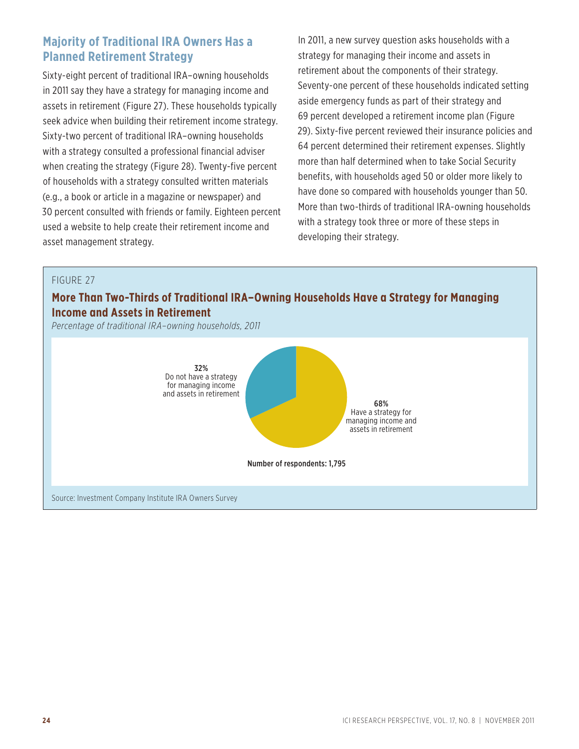## **Majority of Traditional IRA Owners Has a Planned Retirement Strategy**

Sixty-eight percent of traditional IRA–owning households in 2011 say they have a strategy for managing income and assets in retirement (Figure 27). These households typically seek advice when building their retirement income strategy. Sixty-two percent of traditional IRA–owning households with a strategy consulted a professional financial adviser when creating the strategy (Figure 28). Twenty-five percent of households with a strategy consulted written materials (e.g., a book or article in a magazine or newspaper) and 30 percent consulted with friends or family. Eighteen percent used a website to help create their retirement income and asset management strategy.

In 2011, a new survey question asks households with a strategy for managing their income and assets in retirement about the components of their strategy. Seventy-one percent of these households indicated setting aside emergency funds as part of their strategy and 69 percent developed a retirement income plan (Figure 29). Sixty-five percent reviewed their insurance policies and 64 percent determined their retirement expenses. Slightly more than half determined when to take Social Security benefits, with households aged 50 or older more likely to have done so compared with households younger than 50. More than two-thirds of traditional IRA-owning households with a strategy took three or more of these steps in developing their strategy.

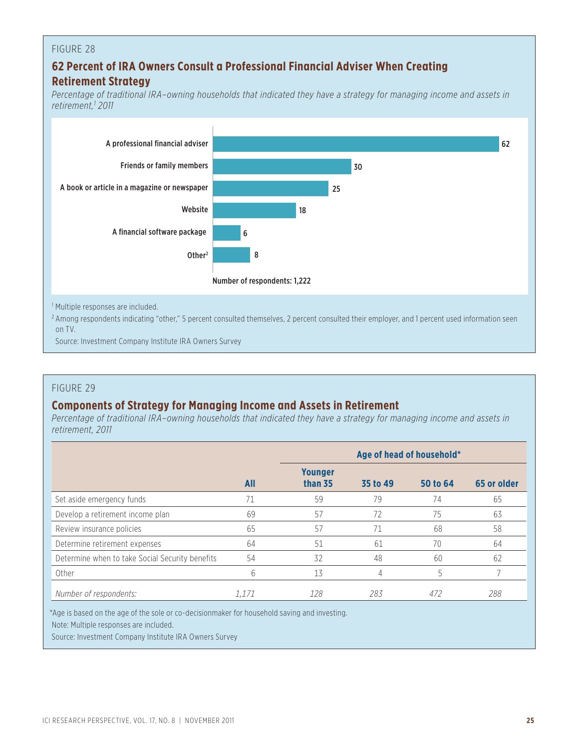## **62 Percent of IRA Owners Consult a Professional Financial Adviser When Creating Retirement Strategy**

*Percentage of traditional IRA–owning households that indicated they have a strategy for managing income and assets in retirement,1 2011*



<sup>2</sup> Among respondents indicating "other," 5 percent consulted themselves, 2 percent consulted their employer, and 1 percent used information seen on TV.

Source: Investment Company Institute IRA Owners Survey

#### FIGURE 29

## **Components of Strategy for Managing Income and Assets in Retirement**

*Percentage of traditional IRA–owning households that indicated they have a strategy for managing income and assets in retirement, 2011*

|                                                 |       | Age of head of household* |          |          |             |
|-------------------------------------------------|-------|---------------------------|----------|----------|-------------|
|                                                 | All   | <b>Younger</b><br>than 35 | 35 to 49 | 50 to 64 | 65 or older |
| Set aside emergency funds                       |       | 59                        | 79       | 74       | 65          |
| Develop a retirement income plan                | 69    | 57                        | 72       | 75       | 63          |
| Review insurance policies                       | 65    | 57                        |          | 68       | 58          |
| Determine retirement expenses                   | 64    | 51                        | 61       | 70       | 64          |
| Determine when to take Social Security benefits | 54    | 32                        | 48       | 60       | 62          |
| Other                                           | 6     | 13                        | 4        | 5        |             |
| Number of respondents:                          | 1.171 | 128                       | 283      | 472      | 288         |

\*Age is based on the age of the sole or co-decisionmaker for household saving and investing.

Note: Multiple responses are included.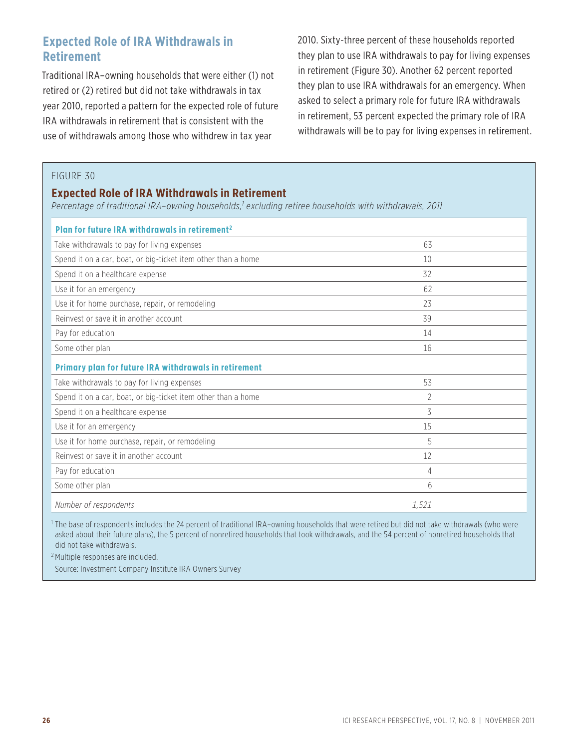## **Expected Role of IRA Withdrawals in Retirement**

Traditional IRA–owning households that were either (1) not retired or (2) retired but did not take withdrawals in tax year 2010, reported a pattern for the expected role of future IRA withdrawals in retirement that is consistent with the use of withdrawals among those who withdrew in tax year

2010. Sixty-three percent of these households reported they plan to use IRA withdrawals to pay for living expenses in retirement (Figure 30). Another 62 percent reported they plan to use IRA withdrawals for an emergency. When asked to select a primary role for future IRA withdrawals in retirement, 53 percent expected the primary role of IRA withdrawals will be to pay for living expenses in retirement.

#### FIGURE 30

## **Expected Role of IRA Withdrawals in Retirement**

*Percentage of traditional IRA–owning households,1 excluding retiree households with withdrawals, 2011*

| Plan for future IRA withdrawals in retirement <sup>2</sup>    |       |  |  |  |  |
|---------------------------------------------------------------|-------|--|--|--|--|
| Take withdrawals to pay for living expenses                   | 63    |  |  |  |  |
| Spend it on a car, boat, or big-ticket item other than a home | 10    |  |  |  |  |
| Spend it on a healthcare expense                              | 32    |  |  |  |  |
| Use it for an emergency                                       | 62    |  |  |  |  |
| Use it for home purchase, repair, or remodeling               | 23    |  |  |  |  |
| Reinvest or save it in another account                        | 39    |  |  |  |  |
| Pay for education                                             | 14    |  |  |  |  |
| Some other plan                                               | 16    |  |  |  |  |
| Primary plan for future IRA withdrawals in retirement         |       |  |  |  |  |
| Take withdrawals to pay for living expenses                   | 53    |  |  |  |  |
| Spend it on a car, boat, or big-ticket item other than a home | 2     |  |  |  |  |
| Spend it on a healthcare expense                              | 3     |  |  |  |  |
| Use it for an emergency                                       | 15    |  |  |  |  |
| Use it for home purchase, repair, or remodeling               | 5     |  |  |  |  |
| Reinvest or save it in another account                        | 12    |  |  |  |  |
| Pay for education                                             | 4     |  |  |  |  |
| Some other plan                                               | 6     |  |  |  |  |
| Number of respondents                                         | 1,521 |  |  |  |  |

1 The base of respondents includes the 24 percent of traditional IRA–owning households that were retired but did not take withdrawals (who were asked about their future plans), the 5 percent of nonretired households that took withdrawals, and the 54 percent of nonretired households that did not take withdrawals.

2 Multiple responses are included.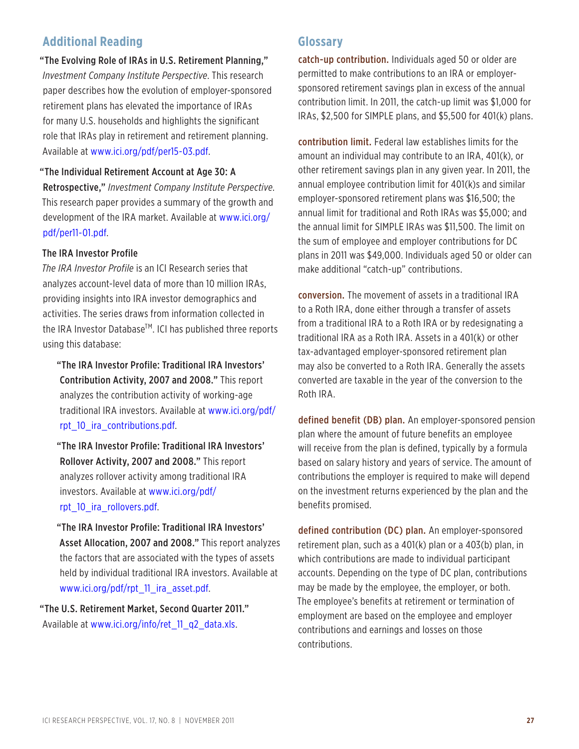## **Additional Reading**

"The Evolving Role of IRAs in U.S. Retirement Planning," *Investment Company Institute Perspective*. This research paper describes how the evolution of employer-sponsored retirement plans has elevated the importance of IRAs for many U.S. households and highlights the significant role that IRAs play in retirement and retirement planning. Available at www.ici.org/pdf/per15-03.pdf.

#### "The Individual Retirement Account at Age 30: A

Retrospective," *Investment Company Institute Perspective*. This research paper provides a summary of the growth and [development of the IRA market. Available at www.ici.org/](http://www.ici.org/pdf/per11-01.pdf) pdf/per11-01.pdf.

#### The IRA Investor Profile

*The IRA Investor Profile* is an ICI Research series that analyzes account-level data of more than 10 million IRAs, providing insights into IRA investor demographics and activities. The series draws from information collected in the IRA Investor Database<sup>™</sup>. ICI has published three reports using this database:

"The IRA Investor Profile: Traditional IRA Investors' Contribution Activity, 2007 and 2008." This report analyzes the contribution activity of working-age [traditional IRA investors. Available at www.ici.org/pdf/](http://www.ici.org/pdf/rpt_10_ira_contributions.pdf) rpt\_10\_ira\_contributions.pdf.

"The IRA Investor Profile: Traditional IRA Investors' Rollover Activity, 2007 and 2008." This report analyzes rollover activity among traditional IRA [investors. Available at www.ici.org/pdf/](http://www.ici.org/pdf/rpt_10_ira_rollovers.pdf) rpt\_10\_ira\_rollovers.pdf.

"The IRA Investor Profile: Traditional IRA Investors' Asset Allocation, 2007 and 2008." This report analyzes the factors that are associated with the types of assets held by individual traditional IRA investors. Available at www.ici.org/pdf/rpt\_11\_ira\_asset.pdf.

"The U.S. Retirement Market, Second Quarter 2011." Available at www.ici.org/info/ret\_11\_q2\_data.xls.

### **Glossary**

catch-up contribution. Individuals aged 50 or older are permitted to make contributions to an IRA or employersponsored retirement savings plan in excess of the annual contribution limit. In 2011, the catch-up limit was \$1,000 for IRAs, \$2,500 for SIMPLE plans, and \$5,500 for 401(k) plans.

contribution limit. Federal law establishes limits for the amount an individual may contribute to an IRA, 401(k), or other retirement savings plan in any given year. In 2011, the annual employee contribution limit for 401(k)s and similar employer-sponsored retirement plans was \$16,500; the annual limit for traditional and Roth IRAs was \$5,000; and the annual limit for SIMPLE IRAs was \$11,500. The limit on the sum of employee and employer contributions for DC plans in 2011 was \$49,000. Individuals aged 50 or older can make additional "catch-up" contributions.

conversion. The movement of assets in a traditional IRA to a Roth IRA, done either through a transfer of assets from a traditional IRA to a Roth IRA or by redesignating a traditional IRA as a Roth IRA. Assets in a 401(k) or other tax-advantaged employer-sponsored retirement plan may also be converted to a Roth IRA. Generally the assets converted are taxable in the year of the conversion to the Roth IRA.

defined benefit (DB) plan. An employer-sponsored pension plan where the amount of future benefits an employee will receive from the plan is defined, typically by a formula based on salary history and years of service. The amount of contributions the employer is required to make will depend on the investment returns experienced by the plan and the benefits promised.

defined contribution (DC) plan. An employer-sponsored retirement plan, such as a 401(k) plan or a 403(b) plan, in which contributions are made to individual participant accounts. Depending on the type of DC plan, contributions may be made by the employee, the employer, or both. The employee's benefits at retirement or termination of employment are based on the employee and employer contributions and earnings and losses on those contributions.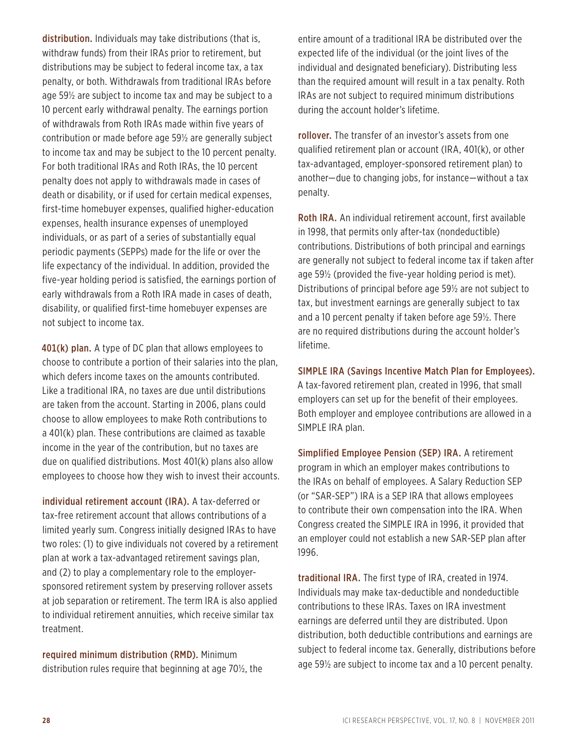distribution. Individuals may take distributions (that is, withdraw funds) from their IRAs prior to retirement, but distributions may be subject to federal income tax, a tax penalty, or both. Withdrawals from traditional IRAs before age 59½ are subject to income tax and may be subject to a 10 percent early withdrawal penalty. The earnings portion of withdrawals from Roth IRAs made within five years of contribution or made before age 59½ are generally subject to income tax and may be subject to the 10 percent penalty. For both traditional IRAs and Roth IRAs, the 10 percent penalty does not apply to withdrawals made in cases of death or disability, or if used for certain medical expenses, first-time homebuyer expenses, qualified higher-education expenses, health insurance expenses of unemployed individuals, or as part of a series of substantially equal periodic payments (SEPPs) made for the life or over the life expectancy of the individual. In addition, provided the five-year holding period is satisfied, the earnings portion of early withdrawals from a Roth IRA made in cases of death, disability, or qualified first-time homebuyer expenses are not subject to income tax.

401(k) plan. A type of DC plan that allows employees to choose to contribute a portion of their salaries into the plan, which defers income taxes on the amounts contributed. Like a traditional IRA, no taxes are due until distributions are taken from the account. Starting in 2006, plans could choose to allow employees to make Roth contributions to a 401(k) plan. These contributions are claimed as taxable income in the year of the contribution, but no taxes are due on qualified distributions. Most 401(k) plans also allow employees to choose how they wish to invest their accounts.

individual retirement account (IRA). A tax-deferred or tax-free retirement account that allows contributions of a limited yearly sum. Congress initially designed IRAs to have two roles: (1) to give individuals not covered by a retirement plan at work a tax-advantaged retirement savings plan, and (2) to play a complementary role to the employersponsored retirement system by preserving rollover assets at job separation or retirement. The term IRA is also applied to individual retirement annuities, which receive similar tax treatment.

required minimum distribution (RMD). Minimum distribution rules require that beginning at age 70½, the entire amount of a traditional IRA be distributed over the expected life of the individual (or the joint lives of the individual and designated beneficiary). Distributing less than the required amount will result in a tax penalty. Roth IRAs are not subject to required minimum distributions during the account holder's lifetime.

rollover. The transfer of an investor's assets from one qualified retirement plan or account (IRA, 401(k), or other tax-advantaged, employer-sponsored retirement plan) to another—due to changing jobs, for instance—without a tax penalty.

Roth IRA. An individual retirement account, first available in 1998, that permits only after-tax (nondeductible) contributions. Distributions of both principal and earnings are generally not subject to federal income tax if taken after age 59½ (provided the five-year holding period is met). Distributions of principal before age 59½ are not subject to tax, but investment earnings are generally subject to tax and a 10 percent penalty if taken before age 59½. There are no required distributions during the account holder's lifetime.

SIMPLE IRA (Savings Incentive Match Plan for Employees).

A tax-favored retirement plan, created in 1996, that small employers can set up for the benefit of their employees. Both employer and employee contributions are allowed in a SIMPLE IRA plan.

Simplified Employee Pension (SEP) IRA. A retirement program in which an employer makes contributions to the IRAs on behalf of employees. A Salary Reduction SEP (or "SAR-SEP") IRA is a SEP IRA that allows employees to contribute their own compensation into the IRA. When Congress created the SIMPLE IRA in 1996, it provided that an employer could not establish a new SAR-SEP plan after 1996.

traditional IRA. The first type of IRA, created in 1974. Individuals may make tax-deductible and nondeductible contributions to these IRAs. Taxes on IRA investment earnings are deferred until they are distributed. Upon distribution, both deductible contributions and earnings are subject to federal income tax. Generally, distributions before age 59½ are subject to income tax and a 10 percent penalty.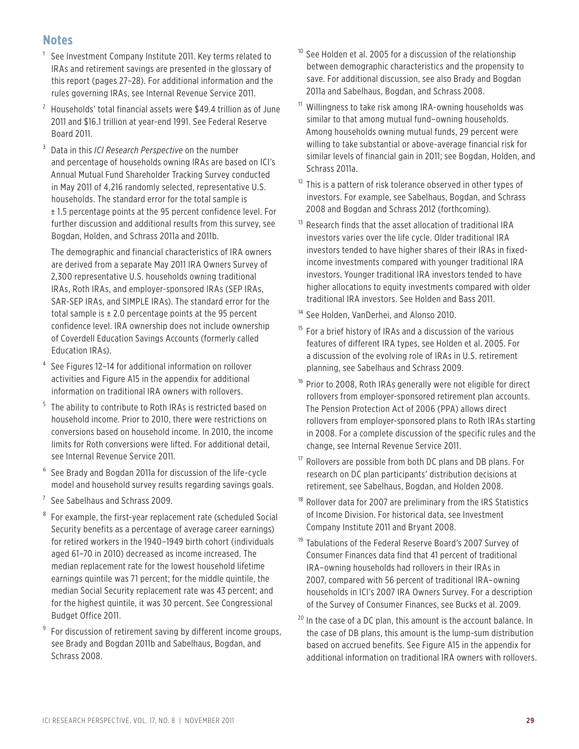## **Notes**

- $1$  See Investment Company Institute 2011. Key terms related to IRAs and retirement savings are presented in the glossary of this report (pages 27–28). For additional information and the rules governing IRAs, see Internal Revenue Service 2011.
- $2$  Households' total financial assets were \$49.4 trillion as of June 2011 and \$16.1 trillion at year-end 1991. See Federal Reserve Board 2011.
- <sup>3</sup> Data in this *ICI Research Perspective* on the number and percentage of households owning IRAs are based on ICI's Annual Mutual Fund Shareholder Tracking Survey conducted in May 2011 of 4,216 randomly selected, representative U.S. households. The standard error for the total sample is ± 1.5 percentage points at the 95 percent confidence level. For further discussion and additional results from this survey, see Bogdan, Holden, and Schrass 2011a and 2011b.

The demographic and financial characteristics of IRA owners are derived from a separate May 2011 IRA Owners Survey of 2,300 representative U.S. households owning traditional IRAs, Roth IRAs, and employer-sponsored IRAs (SEP IRAs, SAR-SEP IRAs, and SIMPLE IRAs). The standard error for the total sample is  $\pm$  2.0 percentage points at the 95 percent confidence level. IRA ownership does not include ownership of Coverdell Education Savings Accounts (formerly called Education IRAs).

- <sup>4</sup> See Figures 12-14 for additional information on rollover activities and Figure A15 in the appendix for additional information on traditional IRA owners with rollovers.
- <sup>5</sup> The ability to contribute to Roth IRAs is restricted based on household income. Prior to 2010, there were restrictions on conversions based on household income. In 2010, the income limits for Roth conversions were lifted. For additional detail, see Internal Revenue Service 2011.
- See Brady and Bogdan 2011a for discussion of the life-cycle model and household survey results regarding savings goals.
- <sup>7</sup> See Sabelhaus and Schrass 2009.
- <sup>8</sup> For example, the first-year replacement rate (scheduled Social Security benefits as a percentage of average career earnings) for retired workers in the 1940–1949 birth cohort (individuals aged 61–70 in 2010) decreased as income increased. The median replacement rate for the lowest household lifetime earnings quintile was 71 percent; for the middle quintile, the median Social Security replacement rate was 43 percent; and for the highest quintile, it was 30 percent. See Congressional Budget Office 2011.
- <sup>9</sup>For discussion of retirement saving by different income groups, see Brady and Bogdan 2011b and Sabelhaus, Bogdan, and Schrass 2008.
- $10$  See Holden et al. 2005 for a discussion of the relationship between demographic characteristics and the propensity to save. For additional discussion, see also Brady and Bogdan 2011a and Sabelhaus, Bogdan, and Schrass 2008.
- <sup>11</sup> Willingness to take risk among IRA-owning households was similar to that among mutual fund–owning households. Among households owning mutual funds, 29 percent were willing to take substantial or above-average financial risk for similar levels of financial gain in 2011; see Bogdan, Holden, and Schrass 2011a.
- $12$  This is a pattern of risk tolerance observed in other types of investors. For example, see Sabelhaus, Bogdan, and Schrass 2008 and Bogdan and Schrass 2012 (forthcoming).
- <sup>13</sup> Research finds that the asset allocation of traditional IRA investors varies over the life cycle. Older traditional IRA investors tended to have higher shares of their IRAs in fixedincome investments compared with younger traditional IRA investors. Younger traditional IRA investors tended to have higher allocations to equity investments compared with older traditional IRA investors. See Holden and Bass 2011.
- <sup>14</sup> See Holden, VanDerhei, and Alonso 2010.
- <sup>15</sup> For a brief history of IRAs and a discussion of the various features of different IRA types, see Holden et al. 2005. For a discussion of the evolving role of IRAs in U.S. retirement planning, see Sabelhaus and Schrass 2009.
- $16$  Prior to 2008, Roth IRAs generally were not eligible for direct rollovers from employer-sponsored retirement plan accounts. The Pension Protection Act of 2006 (PPA) allows direct rollovers from employer-sponsored plans to Roth IRAs starting in 2008. For a complete discussion of the specific rules and the change, see Internal Revenue Service 2011.
- $17$  Rollovers are possible from both DC plans and DB plans. For research on DC plan participants' distribution decisions at retirement, see Sabelhaus, Bogdan, and Holden 2008.
- <sup>18</sup> Rollover data for 2007 are preliminary from the IRS Statistics of Income Division. For historical data, see Investment Company Institute 2011 and Bryant 2008.
- <sup>19</sup> Tabulations of the Federal Reserve Board's 2007 Survey of Consumer Finances data find that 41 percent of traditional IRA–owning households had rollovers in their IRAs in 2007, compared with 56 percent of traditional IRA–owning households in ICI's 2007 IRA Owners Survey. For a description of the Survey of Consumer Finances, see Bucks et al. 2009.
- $20$  In the case of a DC plan, this amount is the account balance. In the case of DB plans, this amount is the lump-sum distribution based on accrued benefits. See Figure A15 in the appendix for additional information on traditional IRA owners with rollovers.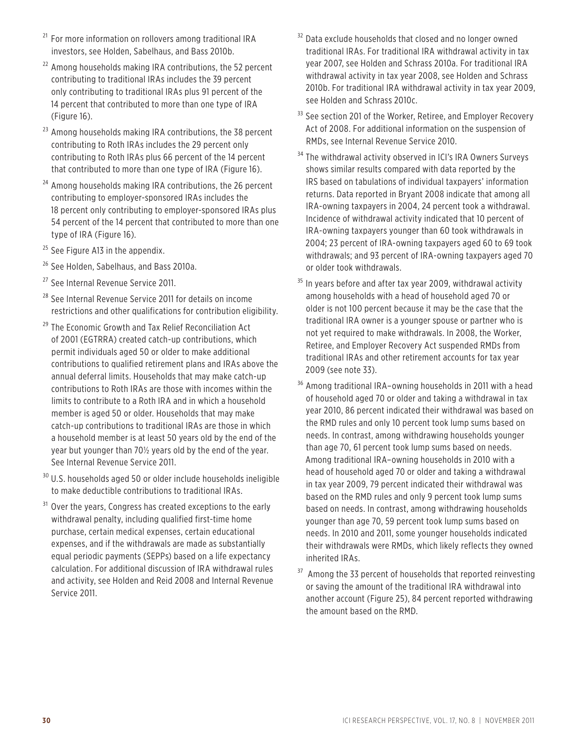- $21$  For more information on rollovers among traditional IRA investors, see Holden, Sabelhaus, and Bass 2010b.
- $22$  Among households making IRA contributions, the 52 percent contributing to traditional IRAs includes the 39 percent only contributing to traditional IRAs plus 91 percent of the 14 percent that contributed to more than one type of IRA (Figure 16).
- $23$  Among households making IRA contributions, the 38 percent contributing to Roth IRAs includes the 29 percent only contributing to Roth IRAs plus 66 percent of the 14 percent that contributed to more than one type of IRA (Figure 16).
- <sup>24</sup> Among households making IRA contributions, the 26 percent contributing to employer-sponsored IRAs includes the 18 percent only contributing to employer-sponsored IRAs plus 54 percent of the 14 percent that contributed to more than one type of IRA (Figure 16).
- $25$  See Figure A13 in the appendix.
- <sup>26</sup> See Holden, Sabelhaus, and Bass 2010a.
- <sup>27</sup> See Internal Revenue Service 2011.
- <sup>28</sup> See Internal Revenue Service 2011 for details on income restrictions and other qualifications for contribution eligibility.
- <sup>29</sup> The Economic Growth and Tax Relief Reconciliation Act of 2001 (EGTRRA) created catch-up contributions, which permit individuals aged 50 or older to make additional contributions to qualified retirement plans and IRAs above the annual deferral limits. Households that may make catch-up contributions to Roth IRAs are those with incomes within the limits to contribute to a Roth IRA and in which a household member is aged 50 or older. Households that may make catch-up contributions to traditional IRAs are those in which a household member is at least 50 years old by the end of the year but younger than 70½ years old by the end of the year. See Internal Revenue Service 2011.
- $30$  U.S. households aged 50 or older include households ineligible to make deductible contributions to traditional IRAs.
- <sup>31</sup> Over the years, Congress has created exceptions to the early withdrawal penalty, including qualified first-time home purchase, certain medical expenses, certain educational expenses, and if the withdrawals are made as substantially equal periodic payments (SEPPs) based on a life expectancy calculation. For additional discussion of IRA withdrawal rules and activity, see Holden and Reid 2008 and Internal Revenue Service 2011.
- <sup>32</sup> Data exclude households that closed and no longer owned traditional IRAs. For traditional IRA withdrawal activity in tax year 2007, see Holden and Schrass 2010a. For traditional IRA withdrawal activity in tax year 2008, see Holden and Schrass 2010b. For traditional IRA withdrawal activity in tax year 2009, see Holden and Schrass 2010c.
- <sup>33</sup> See section 201 of the Worker, Retiree, and Employer Recovery Act of 2008. For additional information on the suspension of RMDs, see Internal Revenue Service 2010.
- <sup>34</sup> The withdrawal activity observed in ICI's IRA Owners Surveys shows similar results compared with data reported by the IRS based on tabulations of individual taxpayers' information returns. Data reported in Bryant 2008 indicate that among all IRA-owning taxpayers in 2004, 24 percent took a withdrawal. Incidence of withdrawal activity indicated that 10 percent of IRA-owning taxpayers younger than 60 took withdrawals in 2004; 23 percent of IRA-owning taxpayers aged 60 to 69 took withdrawals; and 93 percent of IRA-owning taxpayers aged 70 or older took withdrawals.
- $35$  In years before and after tax year 2009, withdrawal activity among households with a head of household aged 70 or older is not 100 percent because it may be the case that the traditional IRA owner is a younger spouse or partner who is not yet required to make withdrawals. In 2008, the Worker, Retiree, and Employer Recovery Act suspended RMDs from traditional IRAs and other retirement accounts for tax year 2009 (see note 33).
- <sup>36</sup> Among traditional IRA-owning households in 2011 with a head of household aged 70 or older and taking a withdrawal in tax year 2010, 86 percent indicated their withdrawal was based on the RMD rules and only 10 percent took lump sums based on needs. In contrast, among withdrawing households younger than age 70, 61 percent took lump sums based on needs. Among traditional IRA–owning households in 2010 with a head of household aged 70 or older and taking a withdrawal in tax year 2009, 79 percent indicated their withdrawal was based on the RMD rules and only 9 percent took lump sums based on needs. In contrast, among withdrawing households younger than age 70, 59 percent took lump sums based on needs. In 2010 and 2011, some younger households indicated their withdrawals were RMDs, which likely reflects they owned inherited IRAs.
- <sup>37</sup> Among the 33 percent of households that reported reinvesting or saving the amount of the traditional IRA withdrawal into another account (Figure 25), 84 percent reported withdrawing the amount based on the RMD.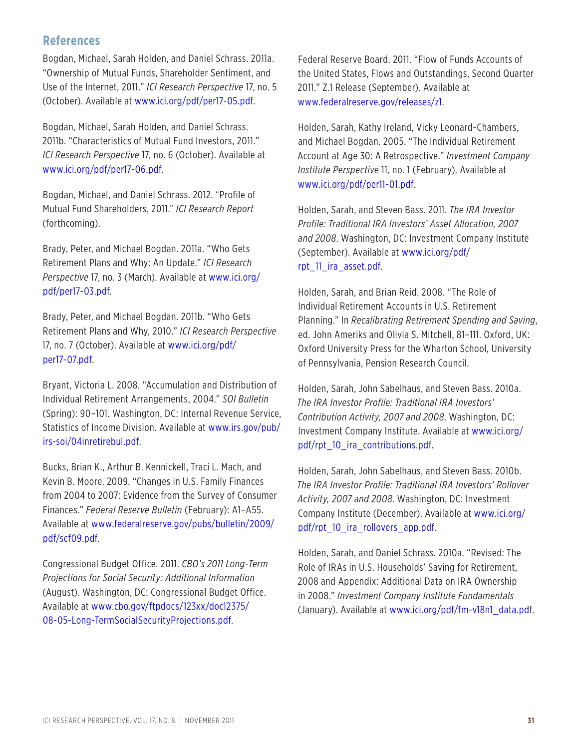## **References**

Bogdan, Michael, Sarah Holden, and Daniel Schrass. 2011a. "Ownership of Mutual Funds, Shareholder Sentiment, and Use of the Internet, 2011." *ICI Research Perspective* 17, no. 5 (October). Available at www.ici.org/pdf/per17-05.pdf.

Bogdan, Michael, Sarah Holden, and Daniel Schrass. 2011b. "Characteristics of Mutual Fund Investors, 2011." *ICI Research Perspective* 17, no. 6 (October). Available at www.ici.org/pdf/per17-06.pdf.

Bogdan, Michael, and Daniel Schrass. 2012. "Profile of Mutual Fund Shareholders, 2011." *ICI Research Report* (forthcoming).

Brady, Peter, and Michael Bogdan. 2011a. "Who Gets Retirement Plans and Why: An Update." *ICI Research Perspective* [17, no. 3 \(March\). Available at www.ici.org/](http://www.ici.org/pdf/per17-03.pdf) pdf/per17-03.pdf.

Brady, Peter, and Michael Bogdan. 2011b. "Who Gets Retirement Plans and Why, 2010." *ICI Research Perspective* [17, no. 7 \(October\). Available at www.ici.org/pdf/](http://www.ici.org/pdf/per17-07.pdf.) per17-07.pdf.

Bryant, Victoria L. 2008. "Accumulation and Distribution of Individual Retirement Arrangements, 2004." *SOI Bulletin*  (Spring): 90–101. Washington, DC: Internal Revenue Service, [Statistics of Income Division. Available at www.irs.gov/pub/](http://www.irs.gov/pub/irs-soi/04inretirebul.pdf) irs-soi/04inretirebul.pdf.

Bucks, Brian K., Arthur B. Kennickell, Traci L. Mach, and Kevin B. Moore. 2009. "Changes in U.S. Family Finances from 2004 to 2007: Evidence from the Survey of Consumer Finances." *Federal Reserve Bulletin* (February): A1–A55. [Available at www.federalreserve.gov/pubs/bulletin/2009/](http://www.federalreserve.gov/pubs/bulletin/2009/pdf/scf09.pdf) pdf/scf09.pdf.

Congressional Budget Office. 2011. *CBO's 2011 Long-Term Projections for Social Security: Additional Information*  (August). Washington, DC: Congressional Budget Office. [Available at www.cbo.gov/ftpdocs/123xx/doc12375/](http://www.cbo.gov/ftpdocs/123xx/doc12375/ 08-05-Long-TermSocialSecurityProjections.pdf) 08-05-Long-TermSocialSecurityProjections.pdf.

Federal Reserve Board. 2011. "Flow of Funds Accounts of the United States, Flows and Outstandings, Second Quarter 2011." Z.1 Release (September). Available at www.federalreserve.gov/releases/z1.

Holden, Sarah, Kathy Ireland, Vicky Leonard-Chambers, and Michael Bogdan. 2005. "The Individual Retirement Account at Age 30: A Retrospective." *Investment Company Institute Perspective* 11, no. 1 (February). Available at www.ici.org/pdf/per11-01.pdf.

Holden, Sarah, and Steven Bass. 2011. *The IRA Investor Profile: Traditional IRA Investors' Asset Allocation, 2007 and 2008*. Washington, DC: Investment Company Institute [\(September\). Available at www.ici.org/pdf/](http://www.ici.org/pdf/rpt_11_ira_asset.pdf) rpt\_11\_ira\_asset.pdf.

Holden, Sarah, and Brian Reid. 2008. "The Role of Individual Retirement Accounts in U.S. Retirement Planning." In *Recalibrating Retirement Spending and Saving*, ed. John Ameriks and Olivia S. Mitchell, 81–111. Oxford, UK: Oxford University Press for the Wharton School, University of Pennsylvania, Pension Research Council.

Holden, Sarah, John Sabelhaus, and Steven Bass. 2010a. *The IRA Investor Profile: Traditional IRA Investors' Contribution Activity, 2007 and 2008*. Washington, DC: [Investment Company Institute. Available at www.ici.org/](http://www.ici.org/pdf/rpt_10_ira_contributions.pdf) pdf/rpt\_10\_ira\_contributions.pdf.

Holden, Sarah, John Sabelhaus, and Steven Bass. 2010b. *The IRA Investor Profile: Traditional IRA Investors' Rollover Activity, 2007 and 2008*. Washington, DC: Investment [Company Institute \(December\). Available at www.ici.org/](http://www.ici.org/pdf/rpt_10_ira_rollovers_app.pdf) pdf/rpt\_10\_ira\_rollovers\_app.pdf.

Holden, Sarah, and Daniel Schrass. 2010a. "Revised: The Role of IRAs in U.S. Households' Saving for Retirement, 2008 and Appendix: Additional Data on IRA Ownership in 2008." *Investment Company Institute Fundamentals*  (January). Available at www.ici.org/pdf/fm-v18n1\_data.pdf.